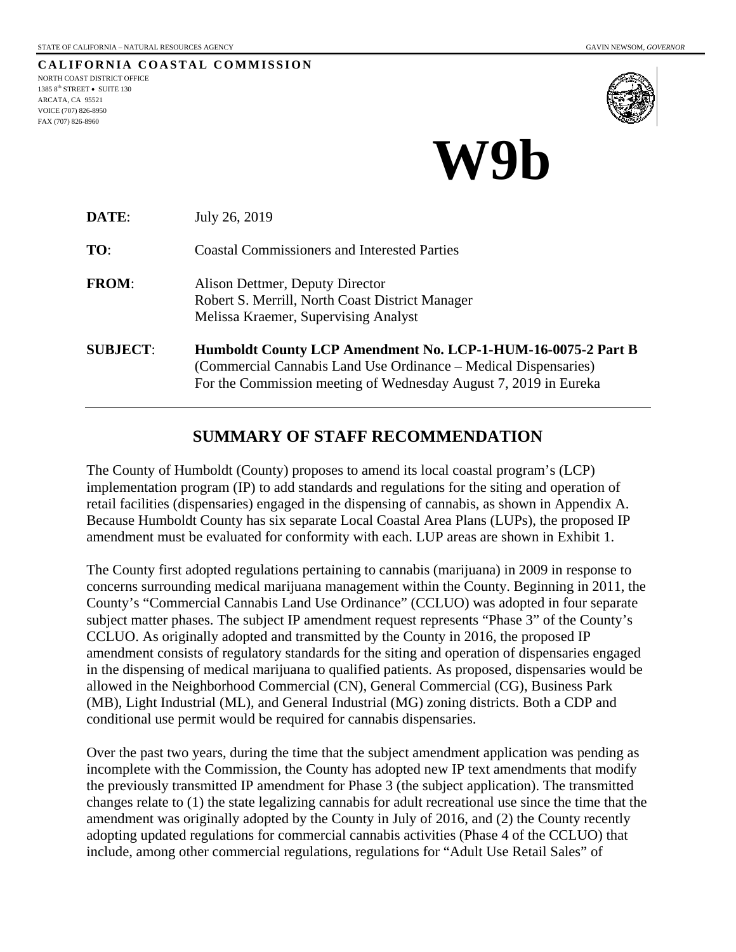**CALIFORNIA COASTAL COMMISSION** NORTH COAST DISTRICT OFFICE 1385 8<sup>th</sup> STREET • SUITE 130 ARCATA, CA 95521 VOICE (707) 826-8950 FAX (707) 826-8960



# **W9b**

| DATE:           | July 26, 2019                                                                                                                                                                                       |  |
|-----------------|-----------------------------------------------------------------------------------------------------------------------------------------------------------------------------------------------------|--|
| TO:             | <b>Coastal Commissioners and Interested Parties</b>                                                                                                                                                 |  |
| <b>FROM:</b>    | Alison Dettmer, Deputy Director<br>Robert S. Merrill, North Coast District Manager<br>Melissa Kraemer, Supervising Analyst                                                                          |  |
| <b>SUBJECT:</b> | Humboldt County LCP Amendment No. LCP-1-HUM-16-0075-2 Part B<br>(Commercial Cannabis Land Use Ordinance - Medical Dispensaries)<br>For the Commission meeting of Wednesday August 7, 2019 in Eureka |  |

## **SUMMARY OF STAFF RECOMMENDATION**

The County of Humboldt (County) proposes to amend its local coastal program's (LCP) implementation program (IP) to add standards and regulations for the siting and operation of retail facilities (dispensaries) engaged in the dispensing of cannabis, as shown in Appendix A. Because Humboldt County has six separate Local Coastal Area Plans (LUPs), the proposed IP amendment must be evaluated for conformity with each. LUP areas are shown in Exhibit 1.

The County first adopted regulations pertaining to cannabis (marijuana) in 2009 in response to concerns surrounding medical marijuana management within the County. Beginning in 2011, the County's "Commercial Cannabis Land Use Ordinance" (CCLUO) was adopted in four separate subject matter phases. The subject IP amendment request represents "Phase 3" of the County's CCLUO. As originally adopted and transmitted by the County in 2016, the proposed IP amendment consists of regulatory standards for the siting and operation of dispensaries engaged in the dispensing of medical marijuana to qualified patients. As proposed, dispensaries would be allowed in the Neighborhood Commercial (CN), General Commercial (CG), Business Park (MB), Light Industrial (ML), and General Industrial (MG) zoning districts. Both a CDP and conditional use permit would be required for cannabis dispensaries.

Over the past two years, during the time that the subject amendment application was pending as incomplete with the Commission, the County has adopted new IP text amendments that modify the previously transmitted IP amendment for Phase 3 (the subject application). The transmitted changes relate to (1) the state legalizing cannabis for adult recreational use since the time that the amendment was originally adopted by the County in July of 2016, and (2) the County recently adopting updated regulations for commercial cannabis activities (Phase 4 of the CCLUO) that include, among other commercial regulations, regulations for "Adult Use Retail Sales" of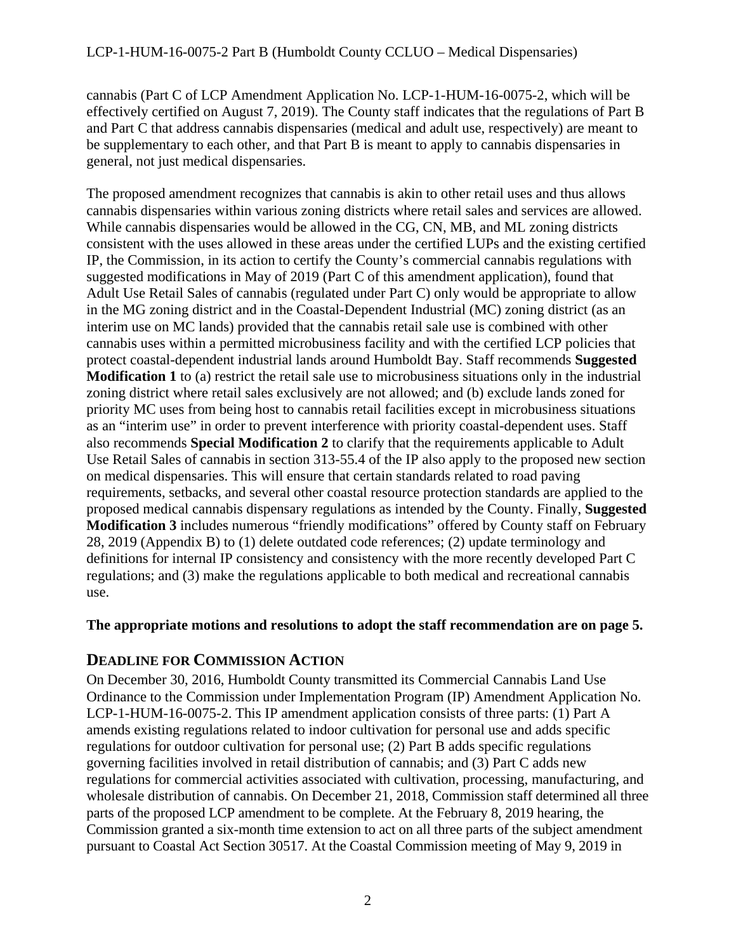cannabis (Part C of LCP Amendment Application No. LCP-1-HUM-16-0075-2, which will be effectively certified on August 7, 2019). The County staff indicates that the regulations of Part B and Part C that address cannabis dispensaries (medical and adult use, respectively) are meant to be supplementary to each other, and that Part B is meant to apply to cannabis dispensaries in general, not just medical dispensaries.

The proposed amendment recognizes that cannabis is akin to other retail uses and thus allows cannabis dispensaries within various zoning districts where retail sales and services are allowed. While cannabis dispensaries would be allowed in the CG, CN, MB, and ML zoning districts consistent with the uses allowed in these areas under the certified LUPs and the existing certified IP, the Commission, in its action to certify the County's commercial cannabis regulations with suggested modifications in May of 2019 (Part C of this amendment application), found that Adult Use Retail Sales of cannabis (regulated under Part C) only would be appropriate to allow in the MG zoning district and in the Coastal-Dependent Industrial (MC) zoning district (as an interim use on MC lands) provided that the cannabis retail sale use is combined with other cannabis uses within a permitted microbusiness facility and with the certified LCP policies that protect coastal-dependent industrial lands around Humboldt Bay. Staff recommends **Suggested Modification 1** to (a) restrict the retail sale use to microbusiness situations only in the industrial zoning district where retail sales exclusively are not allowed; and (b) exclude lands zoned for priority MC uses from being host to cannabis retail facilities except in microbusiness situations as an "interim use" in order to prevent interference with priority coastal-dependent uses. Staff also recommends **Special Modification 2** to clarify that the requirements applicable to Adult Use Retail Sales of cannabis in section 313-55.4 of the IP also apply to the proposed new section on medical dispensaries. This will ensure that certain standards related to road paving requirements, setbacks, and several other coastal resource protection standards are applied to the proposed medical cannabis dispensary regulations as intended by the County. Finally, **Suggested Modification 3** includes numerous "friendly modifications" offered by County staff on February 28, 2019 (Appendix B) to (1) delete outdated code references; (2) update terminology and definitions for internal IP consistency and consistency with the more recently developed Part C regulations; and (3) make the regulations applicable to both medical and recreational cannabis use.

## **The appropriate motions and resolutions to adopt the staff recommendation are on page 5.**

## **DEADLINE FOR COMMISSION ACTION**

On December 30, 2016, Humboldt County transmitted its Commercial Cannabis Land Use Ordinance to the Commission under Implementation Program (IP) Amendment Application No. LCP-1-HUM-16-0075-2. This IP amendment application consists of three parts: (1) Part A amends existing regulations related to indoor cultivation for personal use and adds specific regulations for outdoor cultivation for personal use; (2) Part B adds specific regulations governing facilities involved in retail distribution of cannabis; and (3) Part C adds new regulations for commercial activities associated with cultivation, processing, manufacturing, and wholesale distribution of cannabis. On December 21, 2018, Commission staff determined all three parts of the proposed LCP amendment to be complete. At the February 8, 2019 hearing, the Commission granted a six-month time extension to act on all three parts of the subject amendment pursuant to Coastal Act Section 30517. At the Coastal Commission meeting of May 9, 2019 in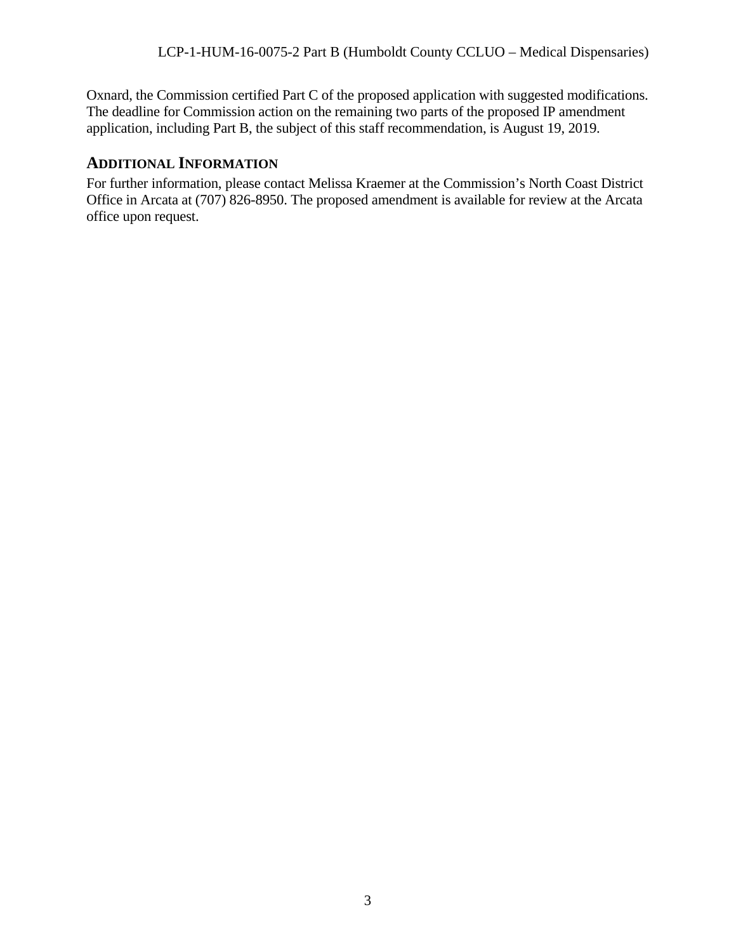Oxnard, the Commission certified Part C of the proposed application with suggested modifications. The deadline for Commission action on the remaining two parts of the proposed IP amendment application, including Part B, the subject of this staff recommendation, is August 19, 2019.

## **ADDITIONAL INFORMATION**

For further information, please contact Melissa Kraemer at the Commission's North Coast District Office in Arcata at (707) 826-8950. The proposed amendment is available for review at the Arcata office upon request.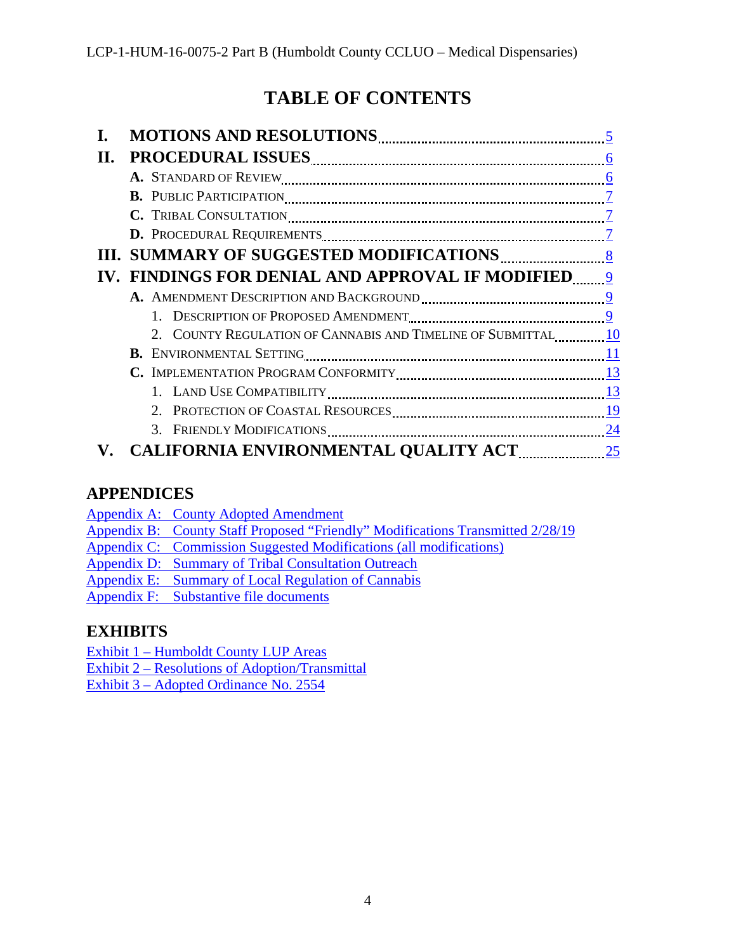# **TABLE OF CONTENTS**

| П. |                                                                                                                                                                                         |  |
|----|-----------------------------------------------------------------------------------------------------------------------------------------------------------------------------------------|--|
|    |                                                                                                                                                                                         |  |
|    |                                                                                                                                                                                         |  |
|    |                                                                                                                                                                                         |  |
|    | D. PROCEDURAL REQUIREMENTS <b>[100]</b> The PROCEDURAL REQUIREMENTS <b>[20] NAMEL III 100 100 100 100 100 100 100 100 100 100 100 100 100 100 100 100 100 100 100 100 100 100 100 1</b> |  |
|    |                                                                                                                                                                                         |  |
|    | IV. FINDINGS FOR DENIAL AND APPROVAL IF MODIFIED 9                                                                                                                                      |  |
|    |                                                                                                                                                                                         |  |
|    |                                                                                                                                                                                         |  |
|    | 2. COUNTY REGULATION OF CANNABIS AND TIMELINE OF SUBMITTAL 10                                                                                                                           |  |
|    |                                                                                                                                                                                         |  |
|    |                                                                                                                                                                                         |  |
|    |                                                                                                                                                                                         |  |
|    |                                                                                                                                                                                         |  |
|    |                                                                                                                                                                                         |  |
|    | <b>CALIFORNIA ENVIRONMENTAL QUALITY ACT 25</b>                                                                                                                                          |  |

## **APPENDICES**

Appendix A: [County Adopted Amendment](https://documents.coastal.ca.gov/reports/2019/8/w9b/w9b-8-2019-appendix.pdf)

- Appendix B: [County Staff Proposed "Friendly"](https://documents.coastal.ca.gov/reports/2019/8/w9b/w9b-8-2019-appendix.pdf) Modifications Transmitted 2/28/19
- Appendix C: [Commission Suggested Modifications \(all](https://documents.coastal.ca.gov/reports/2019/8/w9b/w9b-8-2019-appendix.pdf) modifications)
- Appendix D: [Summary of Tribal Consultation Outreach](https://documents.coastal.ca.gov/reports/2019/8/w9b/w9b-8-2019-appendix.pdf)
- Appendix E: [Summary of Local Regulation of Cannabis](https://documents.coastal.ca.gov/reports/2019/8/w9b/w9b-8-2019-appendix.pdf)

Appendix F: [Substantive file documents](https://documents.coastal.ca.gov/reports/2019/8/w9b/w9b-8-2019-appendix.pdf)

## **EXHIBITS**

Exhibit 1 – [Humboldt County LUP Areas](https://documents.coastal.ca.gov/reports/2019/8/w9b/w9b-8-2019-exhibits.pdf)

Exhibit 2 – Resolutions [of Adoption/Transmittal](https://documents.coastal.ca.gov/reports/2019/8/w9b/w9b-8-2019-exhibits.pdf)

Exhibit 3 – [Adopted Ordinance](https://documents.coastal.ca.gov/reports/2019/8/w9b/w9b-8-2019-exhibits.pdf) No. 2554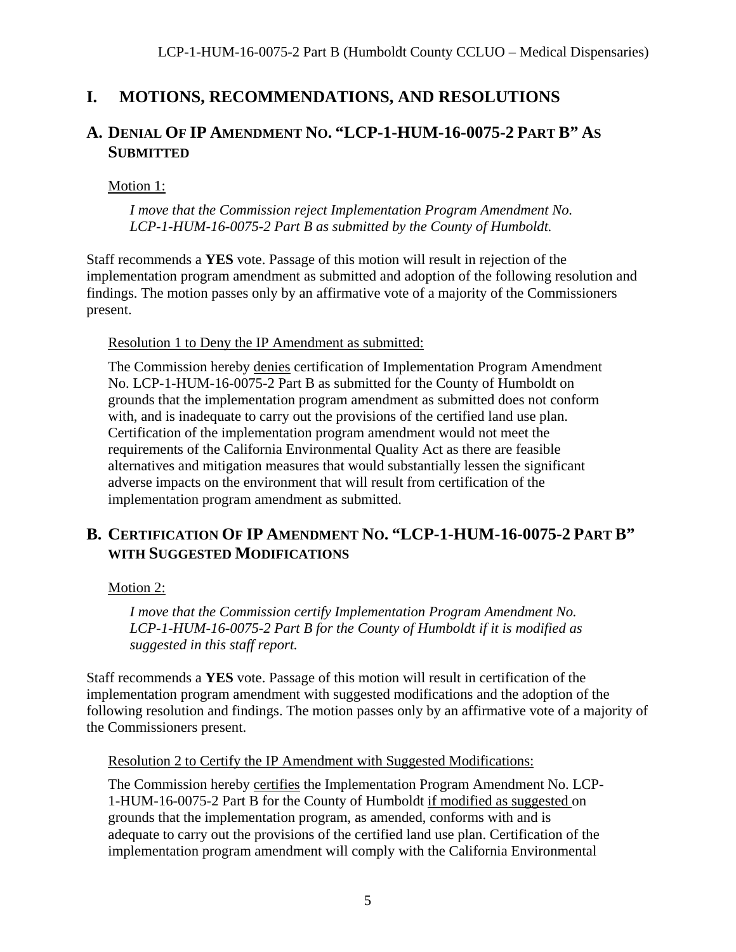## <span id="page-4-0"></span>**I. MOTIONS, RECOMMENDATIONS, AND RESOLUTIONS**

## **A. DENIAL OF IP AMENDMENT NO. "LCP-1-HUM-16-0075-2 PART B" AS SUBMITTED**

Motion 1:

*I move that the Commission reject Implementation Program Amendment No. LCP-1-HUM-16-0075-2 Part B as submitted by the County of Humboldt.*

Staff recommends a **YES** vote. Passage of this motion will result in rejection of the implementation program amendment as submitted and adoption of the following resolution and findings. The motion passes only by an affirmative vote of a majority of the Commissioners present.

Resolution 1 to Deny the IP Amendment as submitted:

The Commission hereby denies certification of Implementation Program Amendment No. LCP-1-HUM-16-0075-2 Part B as submitted for the County of Humboldt on grounds that the implementation program amendment as submitted does not conform with, and is inadequate to carry out the provisions of the certified land use plan. Certification of the implementation program amendment would not meet the requirements of the California Environmental Quality Act as there are feasible alternatives and mitigation measures that would substantially lessen the significant adverse impacts on the environment that will result from certification of the implementation program amendment as submitted.

## **B. CERTIFICATION OF IP AMENDMENT NO. "LCP-1-HUM-16-0075-2 PART B" WITH SUGGESTED MODIFICATIONS**

Motion 2:

*I move that the Commission certify Implementation Program Amendment No. LCP-1-HUM-16-0075-2 Part B for the County of Humboldt if it is modified as suggested in this staff report.*

Staff recommends a **YES** vote. Passage of this motion will result in certification of the implementation program amendment with suggested modifications and the adoption of the following resolution and findings. The motion passes only by an affirmative vote of a majority of the Commissioners present.

Resolution 2 to Certify the IP Amendment with Suggested Modifications:

The Commission hereby certifies the Implementation Program Amendment No. LCP-1-HUM-16-0075-2 Part B for the County of Humboldt if modified as suggested on grounds that the implementation program, as amended, conforms with and is adequate to carry out the provisions of the certified land use plan. Certification of the implementation program amendment will comply with the California Environmental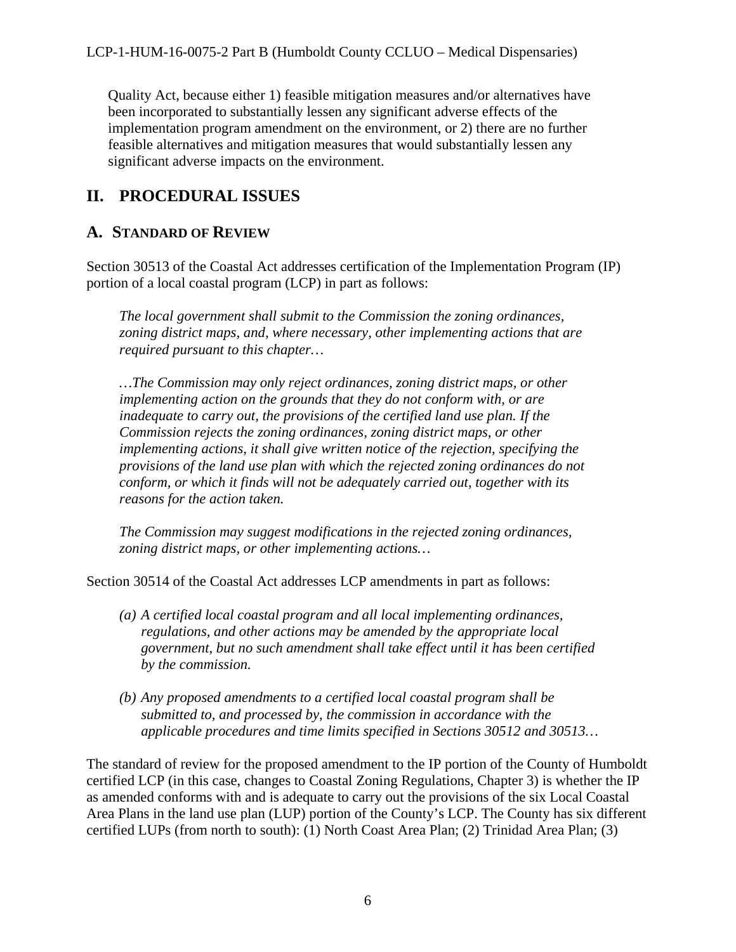Quality Act, because either 1) feasible mitigation measures and/or alternatives have been incorporated to substantially lessen any significant adverse effects of the implementation program amendment on the environment, or 2) there are no further feasible alternatives and mitigation measures that would substantially lessen any significant adverse impacts on the environment.

## <span id="page-5-0"></span>**II. PROCEDURAL ISSUES**

## <span id="page-5-1"></span>**A. STANDARD OF REVIEW**

Section 30513 of the Coastal Act addresses certification of the Implementation Program (IP) portion of a local coastal program (LCP) in part as follows:

*The local government shall submit to the Commission the zoning ordinances, zoning district maps, and, where necessary, other implementing actions that are required pursuant to this chapter…*

*…The Commission may only reject ordinances, zoning district maps, or other implementing action on the grounds that they do not conform with, or are inadequate to carry out, the provisions of the certified land use plan. If the Commission rejects the zoning ordinances, zoning district maps, or other implementing actions, it shall give written notice of the rejection, specifying the provisions of the land use plan with which the rejected zoning ordinances do not conform, or which it finds will not be adequately carried out, together with its reasons for the action taken.* 

*The Commission may suggest modifications in the rejected zoning ordinances, zoning district maps, or other implementing actions…*

Section 30514 of the Coastal Act addresses LCP amendments in part as follows:

- *(a) A certified local coastal program and all local implementing ordinances, regulations, and other actions may be amended by the appropriate local government, but no such amendment shall take effect until it has been certified by the commission.*
- *(b) Any proposed amendments to a certified local coastal program shall be submitted to, and processed by, the commission in accordance with the applicable procedures and time limits specified in Sections 30512 and 30513…*

The standard of review for the proposed amendment to the IP portion of the County of Humboldt certified LCP (in this case, changes to Coastal Zoning Regulations, Chapter 3) is whether the IP as amended conforms with and is adequate to carry out the provisions of the six Local Coastal Area Plans in the land use plan (LUP) portion of the County's LCP. The County has six different certified LUPs (from north to south): (1) North Coast Area Plan; (2) Trinidad Area Plan; (3)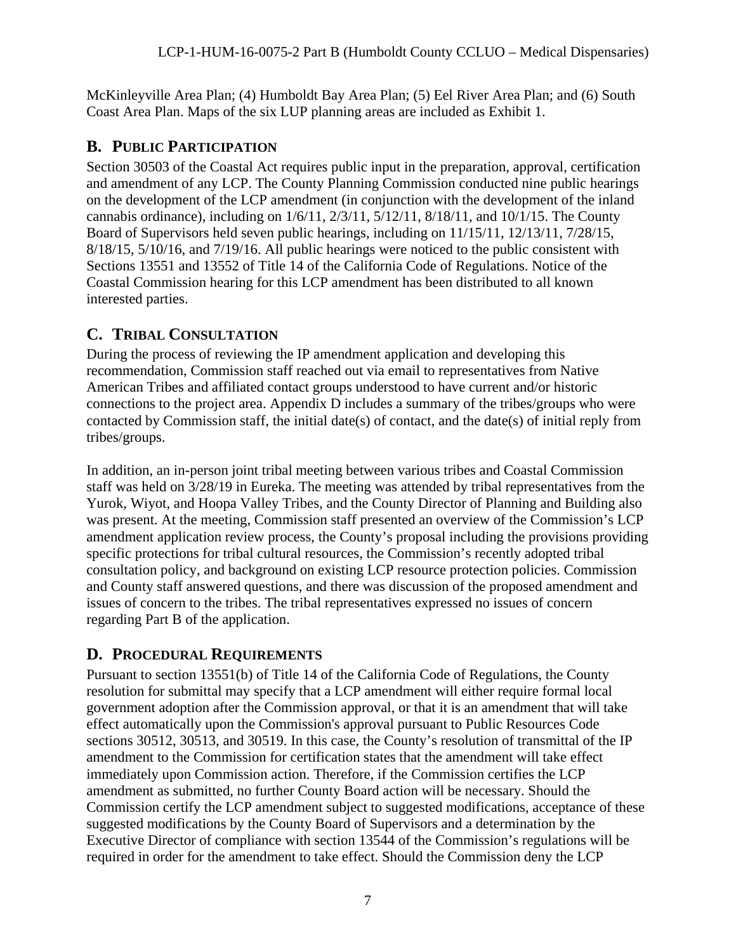McKinleyville Area Plan; (4) Humboldt Bay Area Plan; (5) Eel River Area Plan; and (6) South Coast Area Plan. Maps of the six LUP planning areas are included as Exhibit 1.

## <span id="page-6-0"></span>**B. PUBLIC PARTICIPATION**

Section 30503 of the Coastal Act requires public input in the preparation, approval, certification and amendment of any LCP. The County Planning Commission conducted nine public hearings on the development of the LCP amendment (in conjunction with the development of the inland cannabis ordinance), including on 1/6/11, 2/3/11, 5/12/11, 8/18/11, and 10/1/15. The County Board of Supervisors held seven public hearings, including on 11/15/11, 12/13/11, 7/28/15, 8/18/15, 5/10/16, and 7/19/16. All public hearings were noticed to the public consistent with Sections 13551 and 13552 of Title 14 of the California Code of Regulations. Notice of the Coastal Commission hearing for this LCP amendment has been distributed to all known interested parties.

## <span id="page-6-1"></span>**C. TRIBAL CONSULTATION**

During the process of reviewing the IP amendment application and developing this recommendation, Commission staff reached out via email to representatives from Native American Tribes and affiliated contact groups understood to have current and/or historic connections to the project area. Appendix D includes a summary of the tribes/groups who were contacted by Commission staff, the initial date(s) of contact, and the date(s) of initial reply from tribes/groups.

In addition, an in-person joint tribal meeting between various tribes and Coastal Commission staff was held on 3/28/19 in Eureka. The meeting was attended by tribal representatives from the Yurok, Wiyot, and Hoopa Valley Tribes, and the County Director of Planning and Building also was present. At the meeting, Commission staff presented an overview of the Commission's LCP amendment application review process, the County's proposal including the provisions providing specific protections for tribal cultural resources, the Commission's recently adopted tribal consultation policy, and background on existing LCP resource protection policies. Commission and County staff answered questions, and there was discussion of the proposed amendment and issues of concern to the tribes. The tribal representatives expressed no issues of concern regarding Part B of the application.

## <span id="page-6-2"></span>**D. PROCEDURAL REQUIREMENTS**

Pursuant to section 13551(b) of Title 14 of the California Code of Regulations, the County resolution for submittal may specify that a LCP amendment will either require formal local government adoption after the Commission approval, or that it is an amendment that will take effect automatically upon the Commission's approval pursuant to Public Resources Code sections 30512, 30513, and 30519. In this case, the County's resolution of transmittal of the IP amendment to the Commission for certification states that the amendment will take effect immediately upon Commission action. Therefore, if the Commission certifies the LCP amendment as submitted, no further County Board action will be necessary. Should the Commission certify the LCP amendment subject to suggested modifications, acceptance of these suggested modifications by the County Board of Supervisors and a determination by the Executive Director of compliance with section 13544 of the Commission's regulations will be required in order for the amendment to take effect. Should the Commission deny the LCP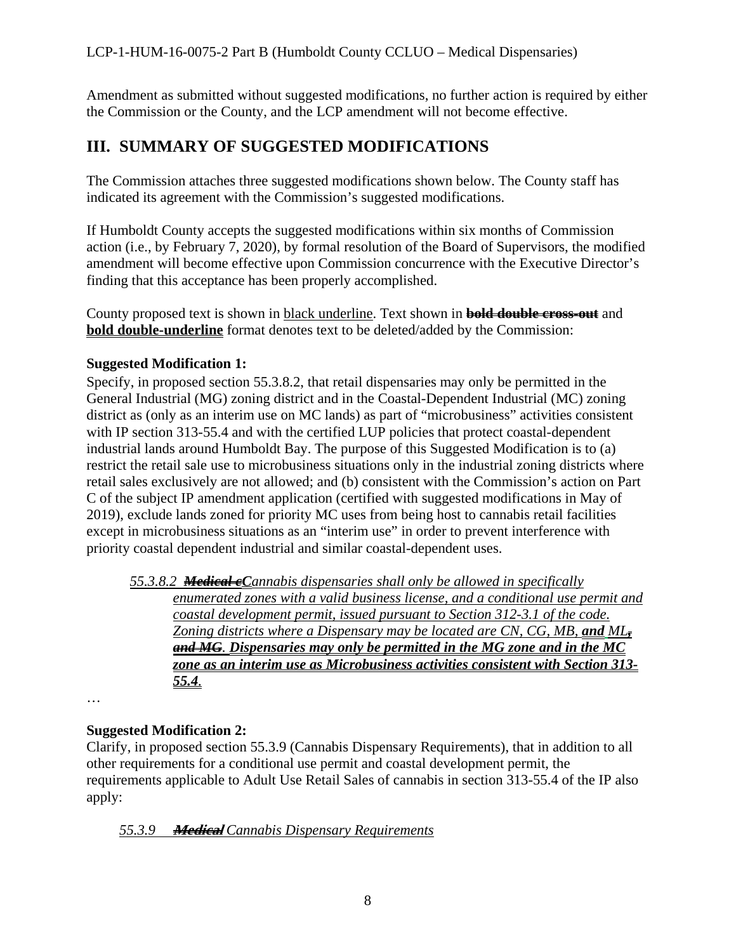Amendment as submitted without suggested modifications, no further action is required by either the Commission or the County, and the LCP amendment will not become effective.

## <span id="page-7-0"></span>**III. SUMMARY OF SUGGESTED MODIFICATIONS**

The Commission attaches three suggested modifications shown below. The County staff has indicated its agreement with the Commission's suggested modifications.

If Humboldt County accepts the suggested modifications within six months of Commission action (i.e., by February 7, 2020), by formal resolution of the Board of Supervisors, the modified amendment will become effective upon Commission concurrence with the Executive Director's finding that this acceptance has been properly accomplished.

County proposed text is shown in black underline. Text shown in **bold double cross-out** and **bold double-underline** format denotes text to be deleted/added by the Commission:

## **Suggested Modification 1:**

Specify, in proposed section 55.3.8.2, that retail dispensaries may only be permitted in the General Industrial (MG) zoning district and in the Coastal-Dependent Industrial (MC) zoning district as (only as an interim use on MC lands) as part of "microbusiness" activities consistent with IP section 313-55.4 and with the certified LUP policies that protect coastal-dependent industrial lands around Humboldt Bay. The purpose of this Suggested Modification is to (a) restrict the retail sale use to microbusiness situations only in the industrial zoning districts where retail sales exclusively are not allowed; and (b) consistent with the Commission's action on Part C of the subject IP amendment application (certified with suggested modifications in May of 2019), exclude lands zoned for priority MC uses from being host to cannabis retail facilities except in microbusiness situations as an "interim use" in order to prevent interference with priority coastal dependent industrial and similar coastal-dependent uses.

*55.3.8.2 Medical cCannabis dispensaries shall only be allowed in specifically enumerated zones with a valid business license, and a conditional use permit and coastal development permit, issued pursuant to Section 312-3.1 of the code. Zoning districts where a Dispensary may be located are CN, CG, MB, and ML, and MG. Dispensaries may only be permitted in the MG zone and in the MC zone as an interim use as Microbusiness activities consistent with Section 313- 55.4.*

…

## **Suggested Modification 2:**

Clarify, in proposed section 55.3.9 (Cannabis Dispensary Requirements), that in addition to all other requirements for a conditional use permit and coastal development permit, the requirements applicable to Adult Use Retail Sales of cannabis in section 313-55.4 of the IP also apply:

## *55.3.9* **Medical** *Cannabis Dispensary Requirements*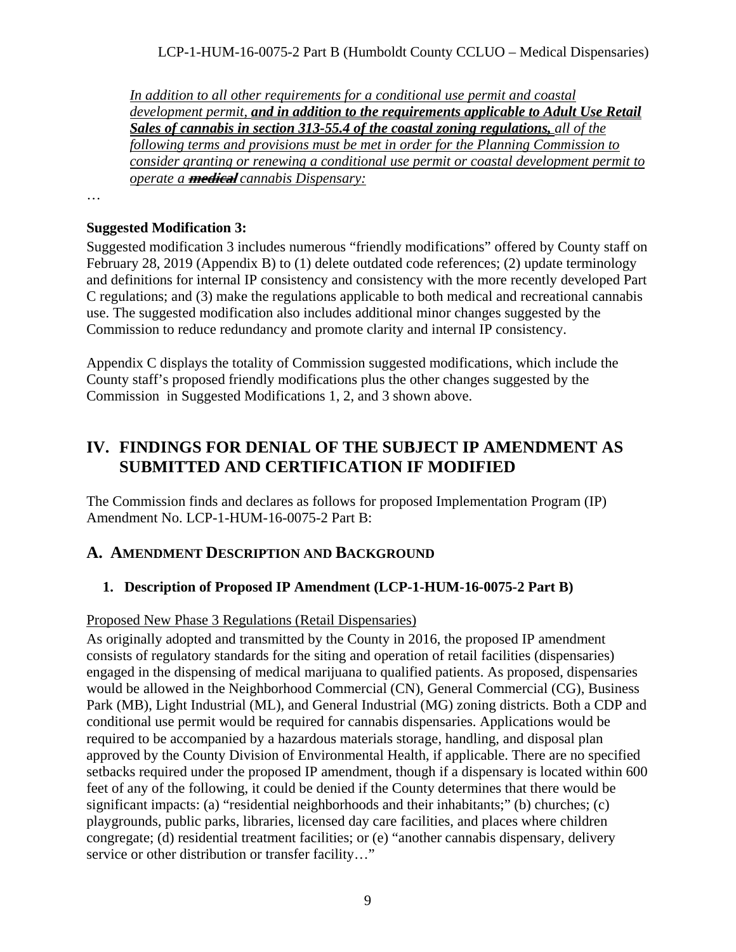#### LCP-1-HUM-16-0075-2 Part B (Humboldt County CCLUO – Medical Dispensaries)

*In addition to all other requirements for a conditional use permit and coastal development permit, and in addition to the requirements applicable to Adult Use Retail Sales of cannabis in section 313-55.4 of the coastal zoning regulations, all of the following terms and provisions must be met in order for the Planning Commission to consider granting or renewing a conditional use permit or coastal development permit to operate a* **medical** *cannabis Dispensary:*

…

#### **Suggested Modification 3:**

Suggested modification 3 includes numerous "friendly modifications" offered by County staff on February 28, 2019 (Appendix B) to (1) delete outdated code references; (2) update terminology and definitions for internal IP consistency and consistency with the more recently developed Part C regulations; and (3) make the regulations applicable to both medical and recreational cannabis use. The suggested modification also includes additional minor changes suggested by the Commission to reduce redundancy and promote clarity and internal IP consistency.

Appendix C displays the totality of Commission suggested modifications, which include the County staff's proposed friendly modifications plus the other changes suggested by the Commission in Suggested Modifications 1, 2, and 3 shown above.

## <span id="page-8-0"></span>**IV. FINDINGS FOR DENIAL OF THE SUBJECT IP AMENDMENT AS SUBMITTED AND CERTIFICATION IF MODIFIED**

The Commission finds and declares as follows for proposed Implementation Program (IP) Amendment No. LCP-1-HUM-16-0075-2 Part B:

#### <span id="page-8-1"></span>**A. AMENDMENT DESCRIPTION AND BACKGROUND**

#### <span id="page-8-2"></span>**1. Description of Proposed IP Amendment (LCP-1-HUM-16-0075-2 Part B)**

#### Proposed New Phase 3 Regulations (Retail Dispensaries)

As originally adopted and transmitted by the County in 2016, the proposed IP amendment consists of regulatory standards for the siting and operation of retail facilities (dispensaries) engaged in the dispensing of medical marijuana to qualified patients. As proposed, dispensaries would be allowed in the Neighborhood Commercial (CN), General Commercial (CG), Business Park (MB), Light Industrial (ML), and General Industrial (MG) zoning districts. Both a CDP and conditional use permit would be required for cannabis dispensaries. Applications would be required to be accompanied by a hazardous materials storage, handling, and disposal plan approved by the County Division of Environmental Health, if applicable. There are no specified setbacks required under the proposed IP amendment, though if a dispensary is located within 600 feet of any of the following, it could be denied if the County determines that there would be significant impacts: (a) "residential neighborhoods and their inhabitants;" (b) churches; (c) playgrounds, public parks, libraries, licensed day care facilities, and places where children congregate; (d) residential treatment facilities; or (e) "another cannabis dispensary, delivery service or other distribution or transfer facility..."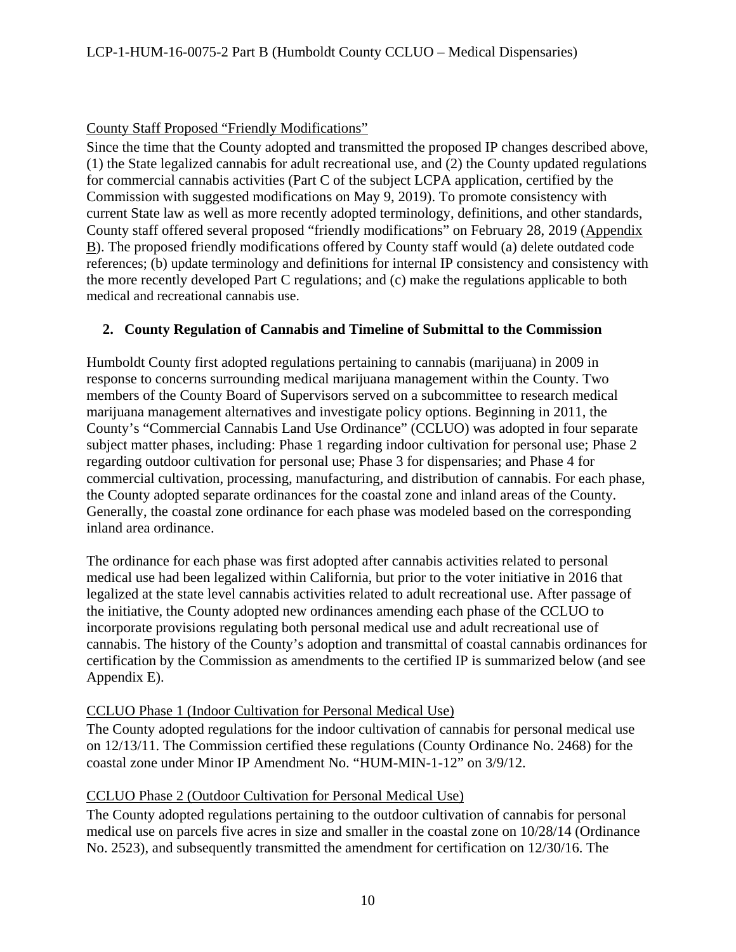#### County Staff Proposed "Friendly Modifications"

Since the time that the County adopted and transmitted the proposed IP changes described above, (1) the State legalized cannabis for adult recreational use, and (2) the County updated regulations for commercial cannabis activities (Part C of the subject LCPA application, certified by the Commission with suggested modifications on May 9, 2019). To promote consistency with current State law as well as more recently adopted terminology, definitions, and other standards, County staff offered several proposed "friendly modifications" on February 28, 2019 (Appendix B). The proposed friendly modifications offered by County staff would (a) delete outdated code references; (b) update terminology and definitions for internal IP consistency and consistency with the more recently developed Part C regulations; and (c) make the regulations applicable to both medical and recreational cannabis use.

#### <span id="page-9-0"></span>**2. County Regulation of Cannabis and Timeline of Submittal to the Commission**

Humboldt County first adopted regulations pertaining to cannabis (marijuana) in 2009 in response to concerns surrounding medical marijuana management within the County. Two members of the County Board of Supervisors served on a subcommittee to research medical marijuana management alternatives and investigate policy options. Beginning in 2011, the County's "Commercial Cannabis Land Use Ordinance" (CCLUO) was adopted in four separate subject matter phases, including: Phase 1 regarding indoor cultivation for personal use; Phase 2 regarding outdoor cultivation for personal use; Phase 3 for dispensaries; and Phase 4 for commercial cultivation, processing, manufacturing, and distribution of cannabis. For each phase, the County adopted separate ordinances for the coastal zone and inland areas of the County. Generally, the coastal zone ordinance for each phase was modeled based on the corresponding inland area ordinance.

The ordinance for each phase was first adopted after cannabis activities related to personal medical use had been legalized within California, but prior to the voter initiative in 2016 that legalized at the state level cannabis activities related to adult recreational use. After passage of the initiative, the County adopted new ordinances amending each phase of the CCLUO to incorporate provisions regulating both personal medical use and adult recreational use of cannabis. The history of the County's adoption and transmittal of coastal cannabis ordinances for certification by the Commission as amendments to the certified IP is summarized below (and see Appendix E).

#### CCLUO Phase 1 (Indoor Cultivation for Personal Medical Use)

The County adopted regulations for the indoor cultivation of cannabis for personal medical use on 12/13/11. The Commission certified these regulations (County Ordinance No. 2468) for the coastal zone under Minor IP Amendment No. "HUM-MIN-1-12" on 3/9/12.

#### CCLUO Phase 2 (Outdoor Cultivation for Personal Medical Use)

The County adopted regulations pertaining to the outdoor cultivation of cannabis for personal medical use on parcels five acres in size and smaller in the coastal zone on 10/28/14 (Ordinance No. 2523), and subsequently transmitted the amendment for certification on 12/30/16. The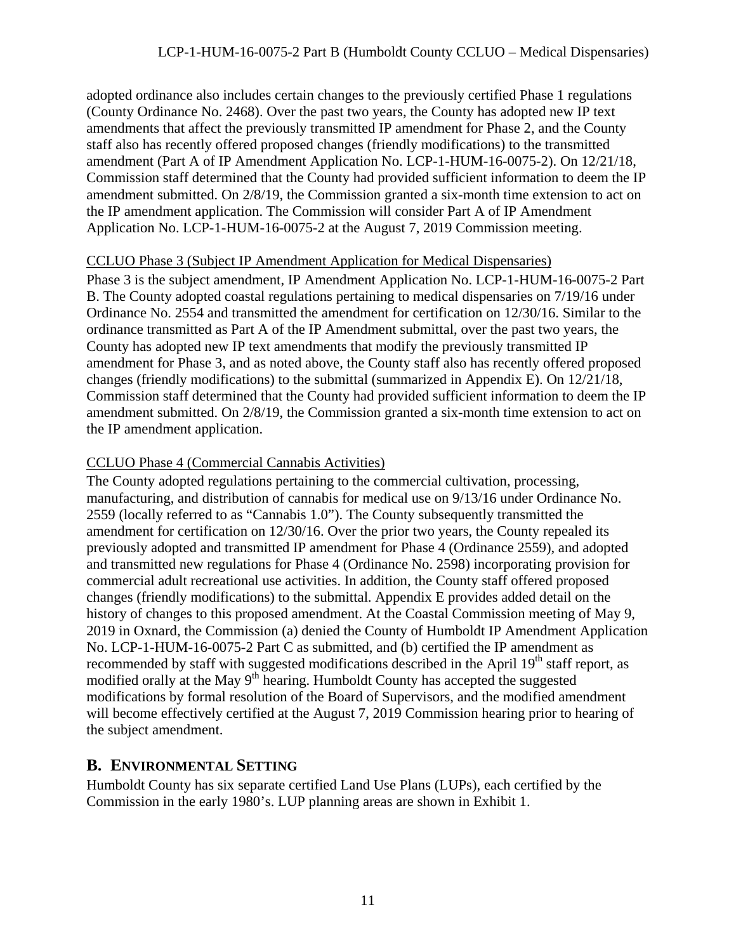adopted ordinance also includes certain changes to the previously certified Phase 1 regulations (County Ordinance No. 2468). Over the past two years, the County has adopted new IP text amendments that affect the previously transmitted IP amendment for Phase 2, and the County staff also has recently offered proposed changes (friendly modifications) to the transmitted amendment (Part A of IP Amendment Application No. LCP-1-HUM-16-0075-2). On 12/21/18, Commission staff determined that the County had provided sufficient information to deem the IP amendment submitted. On 2/8/19, the Commission granted a six-month time extension to act on the IP amendment application. The Commission will consider Part A of IP Amendment Application No. LCP-1-HUM-16-0075-2 at the August 7, 2019 Commission meeting.

#### CCLUO Phase 3 (Subject IP Amendment Application for Medical Dispensaries)

Phase 3 is the subject amendment, IP Amendment Application No. LCP-1-HUM-16-0075-2 Part B. The County adopted coastal regulations pertaining to medical dispensaries on 7/19/16 under Ordinance No. 2554 and transmitted the amendment for certification on 12/30/16. Similar to the ordinance transmitted as Part A of the IP Amendment submittal, over the past two years, the County has adopted new IP text amendments that modify the previously transmitted IP amendment for Phase 3, and as noted above, the County staff also has recently offered proposed changes (friendly modifications) to the submittal (summarized in Appendix E). On 12/21/18, Commission staff determined that the County had provided sufficient information to deem the IP amendment submitted. On 2/8/19, the Commission granted a six-month time extension to act on the IP amendment application.

## CCLUO Phase 4 (Commercial Cannabis Activities)

The County adopted regulations pertaining to the commercial cultivation, processing, manufacturing, and distribution of cannabis for medical use on 9/13/16 under Ordinance No. 2559 (locally referred to as "Cannabis 1.0"). The County subsequently transmitted the amendment for certification on 12/30/16. Over the prior two years, the County repealed its previously adopted and transmitted IP amendment for Phase 4 (Ordinance 2559), and adopted and transmitted new regulations for Phase 4 (Ordinance No. 2598) incorporating provision for commercial adult recreational use activities. In addition, the County staff offered proposed changes (friendly modifications) to the submittal. Appendix E provides added detail on the history of changes to this proposed amendment. At the Coastal Commission meeting of May 9, 2019 in Oxnard, the Commission (a) denied the County of Humboldt IP Amendment Application No. LCP-1-HUM-16-0075-2 Part C as submitted, and (b) certified the IP amendment as recommended by staff with suggested modifications described in the April  $19<sup>th</sup>$  staff report, as modified orally at the May 9<sup>th</sup> hearing. Humboldt County has accepted the suggested modifications by formal resolution of the Board of Supervisors, and the modified amendment will become effectively certified at the August 7, 2019 Commission hearing prior to hearing of the subject amendment.

## <span id="page-10-0"></span>**B. ENVIRONMENTAL SETTING**

Humboldt County has six separate certified Land Use Plans (LUPs), each certified by the Commission in the early 1980's. LUP planning areas are shown in Exhibit 1.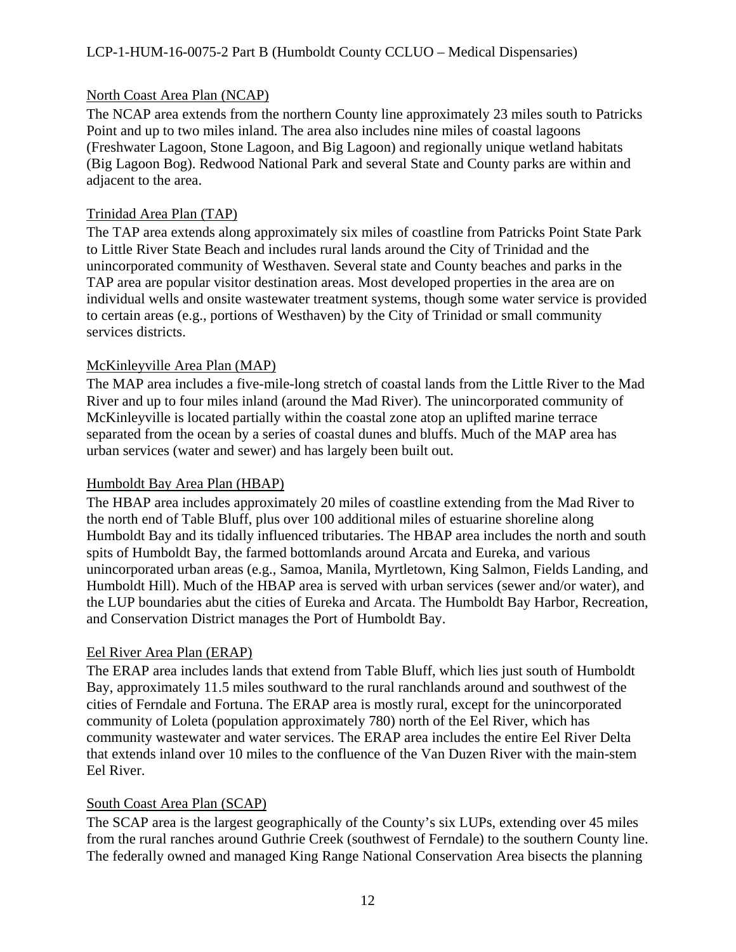#### North Coast Area Plan (NCAP)

The NCAP area extends from the northern County line approximately 23 miles south to Patricks Point and up to two miles inland. The area also includes nine miles of coastal lagoons (Freshwater Lagoon, Stone Lagoon, and Big Lagoon) and regionally unique wetland habitats (Big Lagoon Bog). Redwood National Park and several State and County parks are within and adjacent to the area.

#### Trinidad Area Plan (TAP)

The TAP area extends along approximately six miles of coastline from Patricks Point State Park to Little River State Beach and includes rural lands around the City of Trinidad and the unincorporated community of Westhaven. Several state and County beaches and parks in the TAP area are popular visitor destination areas. Most developed properties in the area are on individual wells and onsite wastewater treatment systems, though some water service is provided to certain areas (e.g., portions of Westhaven) by the City of Trinidad or small community services districts.

#### McKinleyville Area Plan (MAP)

The MAP area includes a five-mile-long stretch of coastal lands from the Little River to the Mad River and up to four miles inland (around the Mad River). The unincorporated community of McKinleyville is located partially within the coastal zone atop an uplifted marine terrace separated from the ocean by a series of coastal dunes and bluffs. Much of the MAP area has urban services (water and sewer) and has largely been built out.

#### Humboldt Bay Area Plan (HBAP)

The HBAP area includes approximately 20 miles of coastline extending from the Mad River to the north end of Table Bluff, plus over 100 additional miles of estuarine shoreline along Humboldt Bay and its tidally influenced tributaries. The HBAP area includes the north and south spits of Humboldt Bay, the farmed bottomlands around Arcata and Eureka, and various unincorporated urban areas (e.g., Samoa, Manila, Myrtletown, King Salmon, Fields Landing, and Humboldt Hill). Much of the HBAP area is served with urban services (sewer and/or water), and the LUP boundaries abut the cities of Eureka and Arcata. The Humboldt Bay Harbor, Recreation, and Conservation District manages the Port of Humboldt Bay.

## Eel River Area Plan (ERAP)

The ERAP area includes lands that extend from Table Bluff, which lies just south of Humboldt Bay, approximately 11.5 miles southward to the rural ranchlands around and southwest of the cities of Ferndale and Fortuna. The ERAP area is mostly rural, except for the unincorporated community of Loleta (population approximately 780) north of the Eel River, which has community wastewater and water services. The ERAP area includes the entire Eel River Delta that extends inland over 10 miles to the confluence of the Van Duzen River with the main-stem Eel River.

#### South Coast Area Plan (SCAP)

The SCAP area is the largest geographically of the County's six LUPs, extending over 45 miles from the rural ranches around Guthrie Creek (southwest of Ferndale) to the southern County line. The federally owned and managed King Range National Conservation Area bisects the planning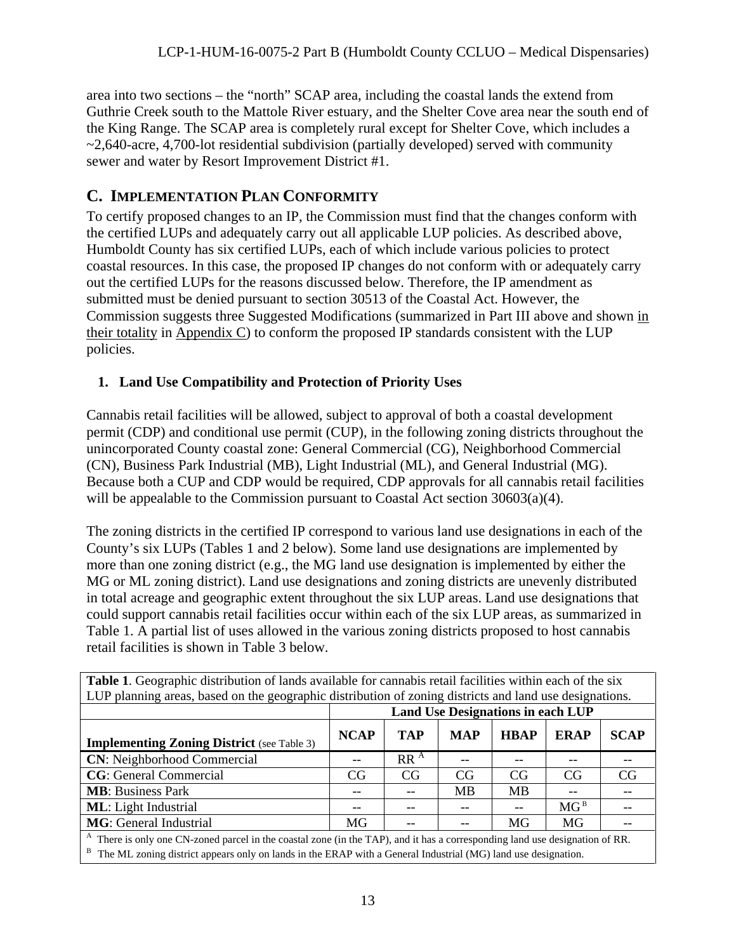area into two sections – the "north" SCAP area, including the coastal lands the extend from Guthrie Creek south to the Mattole River estuary, and the Shelter Cove area near the south end of the King Range. The SCAP area is completely rural except for Shelter Cove, which includes a  $\sim$ 2,640-acre, 4,700-lot residential subdivision (partially developed) served with community sewer and water by Resort Improvement District #1.

## <span id="page-12-0"></span>**C. IMPLEMENTATION PLAN CONFORMITY**

To certify proposed changes to an IP, the Commission must find that the changes conform with the certified LUPs and adequately carry out all applicable LUP policies. As described above, Humboldt County has six certified LUPs, each of which include various policies to protect coastal resources. In this case, the proposed IP changes do not conform with or adequately carry out the certified LUPs for the reasons discussed below. Therefore, the IP amendment as submitted must be denied pursuant to section 30513 of the Coastal Act. However, the Commission suggests three Suggested Modifications (summarized in Part III above and shown in their totality in Appendix C) to conform the proposed IP standards consistent with the LUP policies.

## <span id="page-12-1"></span>**1. Land Use Compatibility and Protection of Priority Uses**

Cannabis retail facilities will be allowed, subject to approval of both a coastal development permit (CDP) and conditional use permit (CUP), in the following zoning districts throughout the unincorporated County coastal zone: General Commercial (CG), Neighborhood Commercial (CN), Business Park Industrial (MB), Light Industrial (ML), and General Industrial (MG). Because both a CUP and CDP would be required, CDP approvals for all cannabis retail facilities will be appealable to the Commission pursuant to Coastal Act section 30603(a)(4).

The zoning districts in the certified IP correspond to various land use designations in each of the County's six LUPs (Tables 1 and 2 below). Some land use designations are implemented by more than one zoning district (e.g., the MG land use designation is implemented by either the MG or ML zoning district). Land use designations and zoning districts are unevenly distributed in total acreage and geographic extent throughout the six LUP areas. Land use designations that could support cannabis retail facilities occur within each of the six LUP areas, as summarized in Table 1. A partial list of uses allowed in the various zoning districts proposed to host cannabis retail facilities is shown in Table 3 below.

| Table 1. Geographic distribution of lands available for cannabis retail facilities within each of the six                                                                                                                                                     |                                          |                 |            |             |                 |             |
|---------------------------------------------------------------------------------------------------------------------------------------------------------------------------------------------------------------------------------------------------------------|------------------------------------------|-----------------|------------|-------------|-----------------|-------------|
| LUP planning areas, based on the geographic distribution of zoning districts and land use designations.                                                                                                                                                       |                                          |                 |            |             |                 |             |
|                                                                                                                                                                                                                                                               | <b>Land Use Designations in each LUP</b> |                 |            |             |                 |             |
| <b>Implementing Zoning District</b> (see Table 3)                                                                                                                                                                                                             | <b>NCAP</b>                              | <b>TAP</b>      | <b>MAP</b> | <b>HBAP</b> | <b>ERAP</b>     | <b>SCAP</b> |
| <b>CN:</b> Neighborhood Commercial                                                                                                                                                                                                                            |                                          | RR <sup>A</sup> |            |             |                 |             |
| <b>CG</b> : General Commercial                                                                                                                                                                                                                                | CG                                       | CG              | CG         | CG          | CG              | CG          |
| <b>MB</b> : Business Park                                                                                                                                                                                                                                     |                                          |                 | MВ         | <b>MB</b>   |                 |             |
| <b>ML</b> : Light Industrial                                                                                                                                                                                                                                  |                                          |                 |            | --          | MG <sup>B</sup> |             |
| <b>MG</b> : General Industrial                                                                                                                                                                                                                                | MG                                       |                 |            | MG          | MG              |             |
| <sup>A</sup> There is only one CN-zoned parcel in the coastal zone (in the TAP), and it has a corresponding land use designation of RR.<br>В<br>The ML zoning district appears only on lands in the ERAP with a General Industrial (MG) land use designation. |                                          |                 |            |             |                 |             |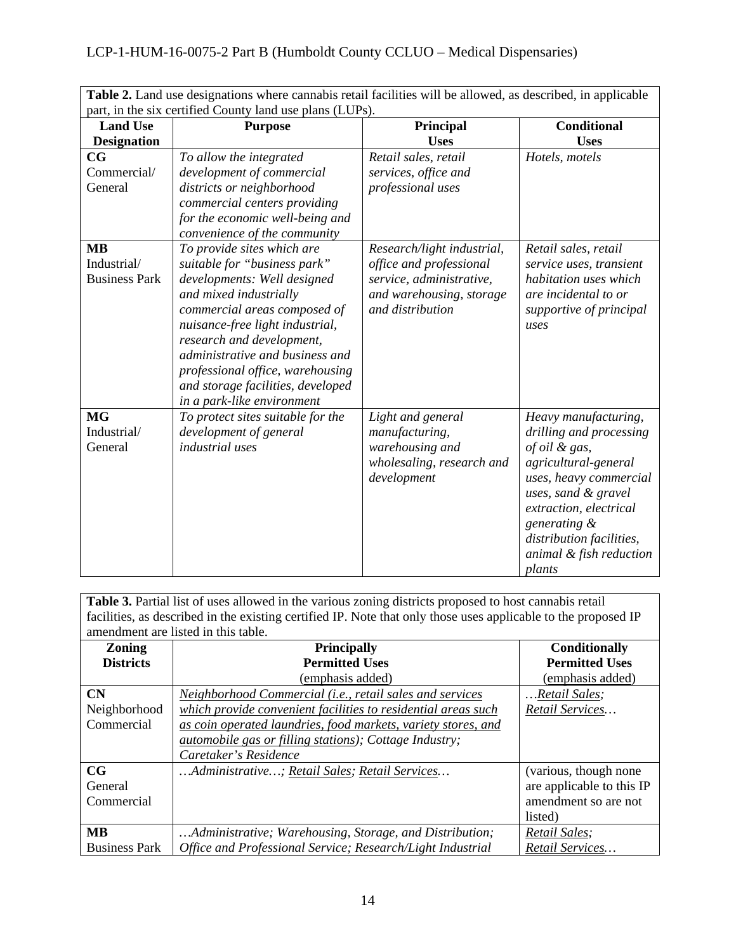|                                                          | <b>Table 2.</b> Land use designations where cannabis retail facilities will be allowed, as described, in applicable |
|----------------------------------------------------------|---------------------------------------------------------------------------------------------------------------------|
| part, in the six certified County land use plans (LUPs). |                                                                                                                     |

| <b>Land Use</b>                                  | $\alpha$ , in the sin certified count; rand as plans $(D\sigma, \sigma)$ .<br><b>Purpose</b>                                                                                                                                                                                                                                                                  | Principal                                                                                                                         | <b>Conditional</b>                                                                                                                                                                                                                                   |
|--------------------------------------------------|---------------------------------------------------------------------------------------------------------------------------------------------------------------------------------------------------------------------------------------------------------------------------------------------------------------------------------------------------------------|-----------------------------------------------------------------------------------------------------------------------------------|------------------------------------------------------------------------------------------------------------------------------------------------------------------------------------------------------------------------------------------------------|
| <b>Designation</b>                               |                                                                                                                                                                                                                                                                                                                                                               | <b>Uses</b>                                                                                                                       | <b>Uses</b>                                                                                                                                                                                                                                          |
| $_{\rm CG}$<br>Commercial/<br>General            | To allow the integrated<br>development of commercial<br>districts or neighborhood<br>commercial centers providing<br>for the economic well-being and<br>convenience of the community                                                                                                                                                                          | Retail sales, retail<br>services, office and<br>professional uses                                                                 | Hotels, motels                                                                                                                                                                                                                                       |
| <b>MB</b><br>Industrial/<br><b>Business Park</b> | To provide sites which are<br>suitable for "business park"<br>developments: Well designed<br>and mixed industrially<br>commercial areas composed of<br>nuisance-free light industrial,<br>research and development,<br>administrative and business and<br>professional office, warehousing<br>and storage facilities, developed<br>in a park-like environment | Research/light industrial,<br>office and professional<br>service, administrative,<br>and warehousing, storage<br>and distribution | Retail sales, retail<br>service uses, transient<br>habitation uses which<br>are incidental to or<br>supportive of principal<br>uses                                                                                                                  |
| <b>MG</b><br>Industrial/<br>General              | To protect sites suitable for the<br>development of general<br>industrial uses                                                                                                                                                                                                                                                                                | Light and general<br>manufacturing,<br>warehousing and<br>wholesaling, research and<br>development                                | Heavy manufacturing,<br>drilling and processing<br>of oil & gas,<br>agricultural-general<br>uses, heavy commercial<br>uses, sand & gravel<br>extraction, electrical<br>generating &<br>distribution facilities,<br>animal & fish reduction<br>plants |

**Table 3.** Partial list of uses allowed in the various zoning districts proposed to host cannabis retail facilities, as described in the existing certified IP. Note that only those uses applicable to the proposed IP amendment are listed in this table.

| <b>Zoning</b>        | <b>Principally</b>                                            | <b>Conditionally</b>      |
|----------------------|---------------------------------------------------------------|---------------------------|
| <b>Districts</b>     | <b>Permitted Uses</b>                                         | <b>Permitted Uses</b>     |
|                      | (emphasis added)                                              | (emphasis added)          |
| CN                   | Neighborhood Commercial (i.e., retail sales and services      | Retail Sales;             |
| Neighborhood         | which provide convenient facilities to residential areas such | Retail Services           |
| Commercial           | as coin operated laundries, food markets, variety stores, and |                           |
|                      | <i>automobile gas or filling stations); Cottage Industry;</i> |                           |
|                      | Caretaker's Residence                                         |                           |
| $_{\rm CG}$          | Administrative; Retail Sales; Retail Services                 | (various, though none     |
| General              |                                                               | are applicable to this IP |
| Commercial           |                                                               | amendment so are not      |
|                      |                                                               | listed)                   |
| <b>MB</b>            | Administrative; Warehousing, Storage, and Distribution;       | Retail Sales;             |
| <b>Business Park</b> | Office and Professional Service; Research/Light Industrial    | Retail Services           |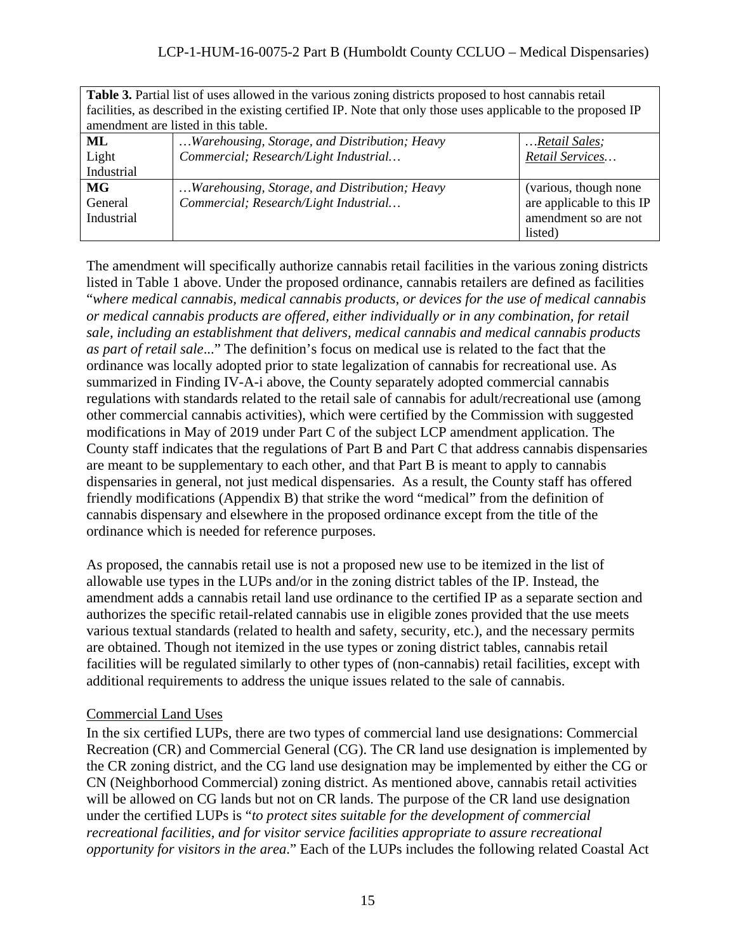| <b>Table 3.</b> Partial list of uses allowed in the various zoning districts proposed to host cannabis retail  |                                               |                           |  |
|----------------------------------------------------------------------------------------------------------------|-----------------------------------------------|---------------------------|--|
| facilities, as described in the existing certified IP. Note that only those uses applicable to the proposed IP |                                               |                           |  |
| amendment are listed in this table.                                                                            |                                               |                           |  |
| ML                                                                                                             | Warehousing, Storage, and Distribution; Heavy | Retail Sales;             |  |
| Light                                                                                                          | Commercial; Research/Light Industrial         | Retail Services           |  |
| Industrial                                                                                                     |                                               |                           |  |
| MG                                                                                                             | Warehousing, Storage, and Distribution; Heavy | (various, though none     |  |
| General                                                                                                        | Commercial; Research/Light Industrial         | are applicable to this IP |  |
| Industrial                                                                                                     |                                               | amendment so are not      |  |
|                                                                                                                |                                               | listed)                   |  |

The amendment will specifically authorize cannabis retail facilities in the various zoning districts listed in Table 1 above. Under the proposed ordinance, cannabis retailers are defined as facilities "*where medical cannabis, medical cannabis products, or devices for the use of medical cannabis or medical cannabis products are offered, either individually or in any combination, for retail sale, including an establishment that delivers, medical cannabis and medical cannabis products as part of retail sale*..." The definition's focus on medical use is related to the fact that the ordinance was locally adopted prior to state legalization of cannabis for recreational use. As summarized in Finding IV-A-i above, the County separately adopted commercial cannabis regulations with standards related to the retail sale of cannabis for adult/recreational use (among other commercial cannabis activities), which were certified by the Commission with suggested modifications in May of 2019 under Part C of the subject LCP amendment application. The County staff indicates that the regulations of Part B and Part C that address cannabis dispensaries are meant to be supplementary to each other, and that Part B is meant to apply to cannabis dispensaries in general, not just medical dispensaries. As a result, the County staff has offered friendly modifications (Appendix B) that strike the word "medical" from the definition of cannabis dispensary and elsewhere in the proposed ordinance except from the title of the ordinance which is needed for reference purposes.

As proposed, the cannabis retail use is not a proposed new use to be itemized in the list of allowable use types in the LUPs and/or in the zoning district tables of the IP. Instead, the amendment adds a cannabis retail land use ordinance to the certified IP as a separate section and authorizes the specific retail-related cannabis use in eligible zones provided that the use meets various textual standards (related to health and safety, security, etc.), and the necessary permits are obtained. Though not itemized in the use types or zoning district tables, cannabis retail facilities will be regulated similarly to other types of (non-cannabis) retail facilities, except with additional requirements to address the unique issues related to the sale of cannabis.

#### Commercial Land Uses

In the six certified LUPs, there are two types of commercial land use designations: Commercial Recreation (CR) and Commercial General (CG). The CR land use designation is implemented by the CR zoning district, and the CG land use designation may be implemented by either the CG or CN (Neighborhood Commercial) zoning district. As mentioned above, cannabis retail activities will be allowed on CG lands but not on CR lands. The purpose of the CR land use designation under the certified LUPs is "*to protect sites suitable for the development of commercial recreational facilities, and for visitor service facilities appropriate to assure recreational opportunity for visitors in the area*." Each of the LUPs includes the following related Coastal Act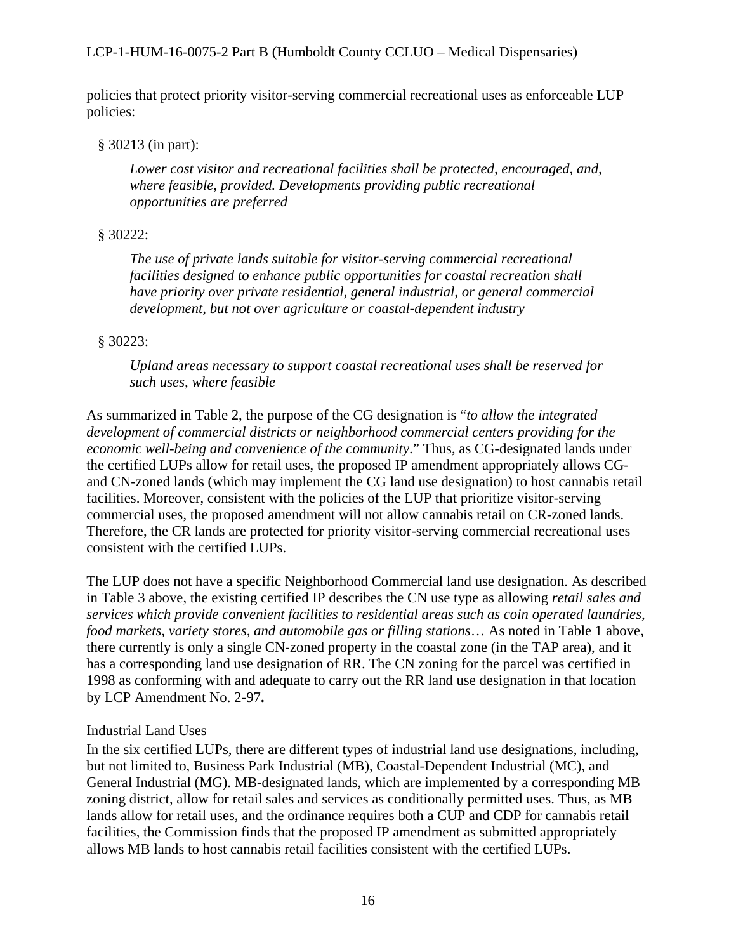policies that protect priority visitor-serving commercial recreational uses as enforceable LUP policies:

#### § 30213 (in part):

*Lower cost visitor and recreational facilities shall be protected, encouraged, and, where feasible, provided. Developments providing public recreational opportunities are preferred*

## § 30222:

*The use of private lands suitable for visitor-serving commercial recreational facilities designed to enhance public opportunities for coastal recreation shall have priority over private residential, general industrial, or general commercial development, but not over agriculture or coastal-dependent industry*

## § 30223:

*Upland areas necessary to support coastal recreational uses shall be reserved for such uses, where feasible*

As summarized in Table 2, the purpose of the CG designation is "*to allow the integrated development of commercial districts or neighborhood commercial centers providing for the economic well-being and convenience of the community*." Thus, as CG-designated lands under the certified LUPs allow for retail uses, the proposed IP amendment appropriately allows CGand CN-zoned lands (which may implement the CG land use designation) to host cannabis retail facilities. Moreover, consistent with the policies of the LUP that prioritize visitor-serving commercial uses, the proposed amendment will not allow cannabis retail on CR-zoned lands. Therefore, the CR lands are protected for priority visitor-serving commercial recreational uses consistent with the certified LUPs.

The LUP does not have a specific Neighborhood Commercial land use designation. As described in Table 3 above, the existing certified IP describes the CN use type as allowing *retail sales and services which provide convenient facilities to residential areas such as coin operated laundries, food markets, variety stores, and automobile gas or filling stations*… As noted in Table 1 above, there currently is only a single CN-zoned property in the coastal zone (in the TAP area), and it has a corresponding land use designation of RR. The CN zoning for the parcel was certified in 1998 as conforming with and adequate to carry out the RR land use designation in that location by LCP Amendment No. 2-97**.**

## Industrial Land Uses

In the six certified LUPs, there are different types of industrial land use designations, including, but not limited to, Business Park Industrial (MB), Coastal-Dependent Industrial (MC), and General Industrial (MG). MB-designated lands, which are implemented by a corresponding MB zoning district, allow for retail sales and services as conditionally permitted uses. Thus, as MB lands allow for retail uses, and the ordinance requires both a CUP and CDP for cannabis retail facilities, the Commission finds that the proposed IP amendment as submitted appropriately allows MB lands to host cannabis retail facilities consistent with the certified LUPs.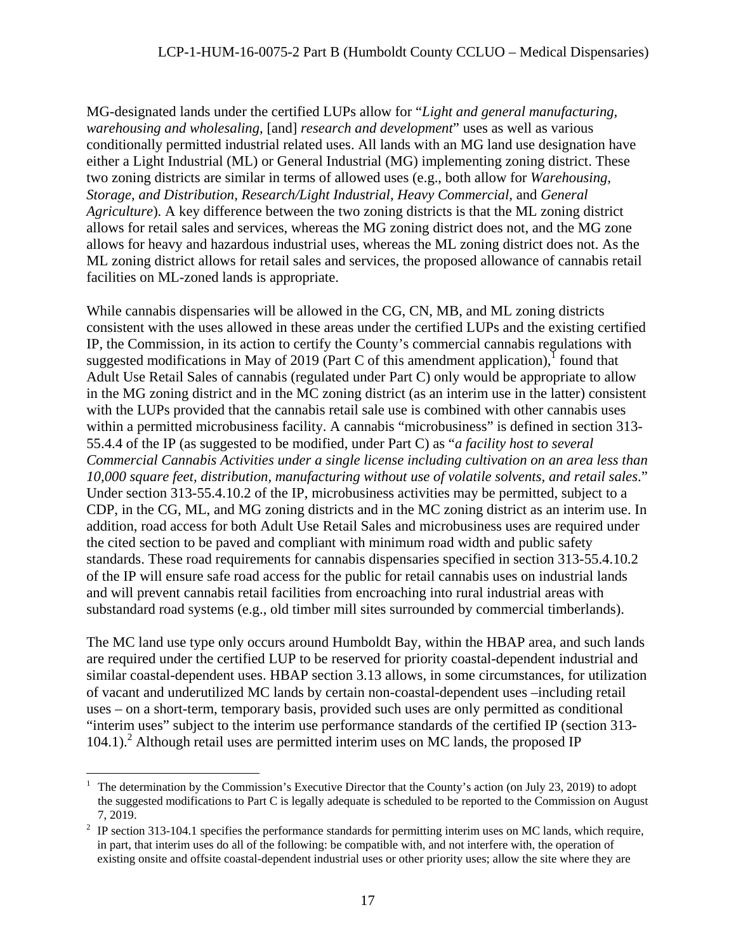MG-designated lands under the certified LUPs allow for "*Light and general manufacturing, warehousing and wholesaling,* [and] *research and development*" uses as well as various conditionally permitted industrial related uses. All lands with an MG land use designation have either a Light Industrial (ML) or General Industrial (MG) implementing zoning district. These two zoning districts are similar in terms of allowed uses (e.g., both allow for *Warehousing, Storage, and Distribution, Research/Light Industrial, Heavy Commercial,* and *General Agriculture*). A key difference between the two zoning districts is that the ML zoning district allows for retail sales and services, whereas the MG zoning district does not, and the MG zone allows for heavy and hazardous industrial uses, whereas the ML zoning district does not. As the ML zoning district allows for retail sales and services, the proposed allowance of cannabis retail facilities on ML-zoned lands is appropriate.

While cannabis dispensaries will be allowed in the CG, CN, MB, and ML zoning districts consistent with the uses allowed in these areas under the certified LUPs and the existing certified IP, the Commission, in its action to certify the County's commercial cannabis regulations with suggested modifications in May of 2019 (Part C of this amendment application), $\frac{1}{1}$  found that Adult Use Retail Sales of cannabis (regulated under Part C) only would be appropriate to allow in the MG zoning district and in the MC zoning district (as an interim use in the latter) consistent with the LUPs provided that the cannabis retail sale use is combined with other cannabis uses within a permitted microbusiness facility. A cannabis "microbusiness" is defined in section 313- 55.4.4 of the IP (as suggested to be modified, under Part C) as "*a facility host to several Commercial Cannabis Activities under a single license including cultivation on an area less than 10,000 square feet, distribution, manufacturing without use of volatile solvents, and retail sales*." Under section 313-55.4.10.2 of the IP, microbusiness activities may be permitted, subject to a CDP, in the CG, ML, and MG zoning districts and in the MC zoning district as an interim use. In addition, road access for both Adult Use Retail Sales and microbusiness uses are required under the cited section to be paved and compliant with minimum road width and public safety standards. These road requirements for cannabis dispensaries specified in section 313-55.4.10.2 of the IP will ensure safe road access for the public for retail cannabis uses on industrial lands and will prevent cannabis retail facilities from encroaching into rural industrial areas with substandard road systems (e.g., old timber mill sites surrounded by commercial timberlands).

The MC land use type only occurs around Humboldt Bay, within the HBAP area, and such lands are required under the certified LUP to be reserved for priority coastal-dependent industrial and similar coastal-dependent uses. HBAP section 3.13 allows, in some circumstances, for utilization of vacant and underutilized MC lands by certain non-coastal-dependent uses –including retail uses – on a short-term, temporary basis, provided such uses are only permitted as conditional "interim uses" subject to the interim use performance standards of the certified IP (section 313-  $104.1$ ).<sup>2</sup> Although retail uses are permitted interim uses on MC lands, the proposed IP

 <sup>1</sup> The determination by the Commission's Executive Director that the County's action (on July 23, 2019) to adopt the suggested modifications to Part C is legally adequate is scheduled to be reported to the Commission on August 7, 2019.

 $2$  IP section 313-104.1 specifies the performance standards for permitting interim uses on MC lands, which require, in part, that interim uses do all of the following: be compatible with, and not interfere with, the operation of existing onsite and offsite coastal-dependent industrial uses or other priority uses; allow the site where they are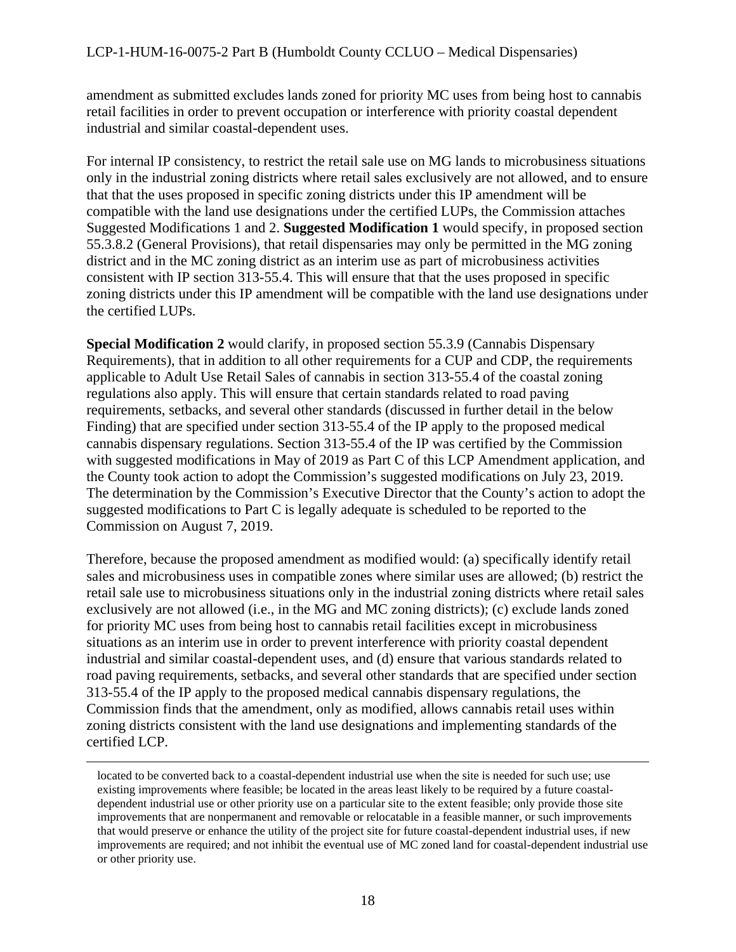amendment as submitted excludes lands zoned for priority MC uses from being host to cannabis retail facilities in order to prevent occupation or interference with priority coastal dependent industrial and similar coastal-dependent uses.

For internal IP consistency, to restrict the retail sale use on MG lands to microbusiness situations only in the industrial zoning districts where retail sales exclusively are not allowed, and to ensure that that the uses proposed in specific zoning districts under this IP amendment will be compatible with the land use designations under the certified LUPs, the Commission attaches Suggested Modifications 1 and 2. **Suggested Modification 1** would specify, in proposed section 55.3.8.2 (General Provisions), that retail dispensaries may only be permitted in the MG zoning district and in the MC zoning district as an interim use as part of microbusiness activities consistent with IP section 313-55.4. This will ensure that that the uses proposed in specific zoning districts under this IP amendment will be compatible with the land use designations under the certified LUPs.

**Special Modification 2** would clarify, in proposed section 55.3.9 (Cannabis Dispensary Requirements), that in addition to all other requirements for a CUP and CDP, the requirements applicable to Adult Use Retail Sales of cannabis in section 313-55.4 of the coastal zoning regulations also apply. This will ensure that certain standards related to road paving requirements, setbacks, and several other standards (discussed in further detail in the below Finding) that are specified under section 313-55.4 of the IP apply to the proposed medical cannabis dispensary regulations. Section 313-55.4 of the IP was certified by the Commission with suggested modifications in May of 2019 as Part C of this LCP Amendment application, and the County took action to adopt the Commission's suggested modifications on July 23, 2019. The determination by the Commission's Executive Director that the County's action to adopt the suggested modifications to Part C is legally adequate is scheduled to be reported to the Commission on August 7, 2019.

Therefore, because the proposed amendment as modified would: (a) specifically identify retail sales and microbusiness uses in compatible zones where similar uses are allowed; (b) restrict the retail sale use to microbusiness situations only in the industrial zoning districts where retail sales exclusively are not allowed (i.e., in the MG and MC zoning districts); (c) exclude lands zoned for priority MC uses from being host to cannabis retail facilities except in microbusiness situations as an interim use in order to prevent interference with priority coastal dependent industrial and similar coastal-dependent uses, and (d) ensure that various standards related to road paving requirements, setbacks, and several other standards that are specified under section 313-55.4 of the IP apply to the proposed medical cannabis dispensary regulations, the Commission finds that the amendment, only as modified, allows cannabis retail uses within zoning districts consistent with the land use designations and implementing standards of the certified LCP.

located to be converted back to a coastal-dependent industrial use when the site is needed for such use; use existing improvements where feasible; be located in the areas least likely to be required by a future coastaldependent industrial use or other priority use on a particular site to the extent feasible; only provide those site improvements that are nonpermanent and removable or relocatable in a feasible manner, or such improvements that would preserve or enhance the utility of the project site for future coastal-dependent industrial uses, if new improvements are required; and not inhibit the eventual use of MC zoned land for coastal-dependent industrial use or other priority use.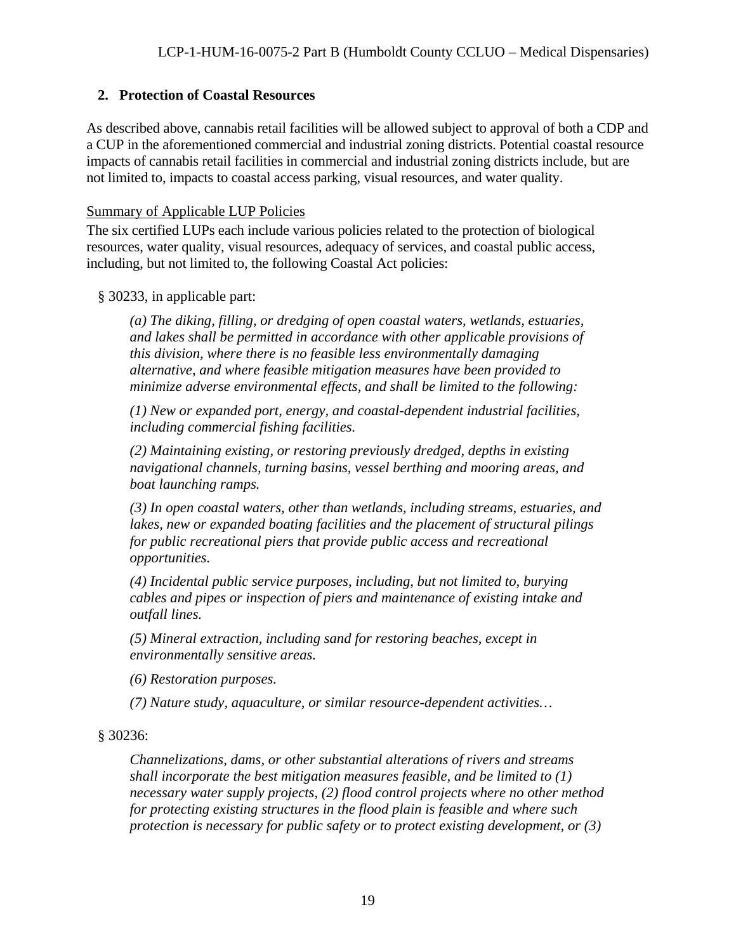## <span id="page-18-0"></span>**2. Protection of Coastal Resources**

As described above, cannabis retail facilities will be allowed subject to approval of both a CDP and a CUP in the aforementioned commercial and industrial zoning districts. Potential coastal resource impacts of cannabis retail facilities in commercial and industrial zoning districts include, but are not limited to, impacts to coastal access parking, visual resources, and water quality.

#### Summary of Applicable LUP Policies

The six certified LUPs each include various policies related to the protection of biological resources, water quality, visual resources, adequacy of services, and coastal public access, including, but not limited to, the following Coastal Act policies:

#### § 30233, in applicable part:

*(a) The diking, filling, or dredging of open coastal waters, wetlands, estuaries, and lakes shall be permitted in accordance with other applicable provisions of this division, where there is no feasible less environmentally damaging alternative, and where feasible mitigation measures have been provided to minimize adverse environmental effects, and shall be limited to the following:*

*(1) New or expanded port, energy, and coastal-dependent industrial facilities, including commercial fishing facilities.*

*(2) Maintaining existing, or restoring previously dredged, depths in existing navigational channels, turning basins, vessel berthing and mooring areas, and boat launching ramps.*

*(3) In open coastal waters, other than wetlands, including streams, estuaries, and lakes, new or expanded boating facilities and the placement of structural pilings for public recreational piers that provide public access and recreational opportunities.*

*(4) Incidental public service purposes, including, but not limited to, burying cables and pipes or inspection of piers and maintenance of existing intake and outfall lines.*

*(5) Mineral extraction, including sand for restoring beaches, except in environmentally sensitive areas.*

*(6) Restoration purposes.*

*(7) Nature study, aquaculture, or similar resource-dependent activities…*

## § 30236:

*Channelizations, dams, or other substantial alterations of rivers and streams shall incorporate the best mitigation measures feasible, and be limited to (1) necessary water supply projects, (2) flood control projects where no other method for protecting existing structures in the flood plain is feasible and where such protection is necessary for public safety or to protect existing development, or (3)*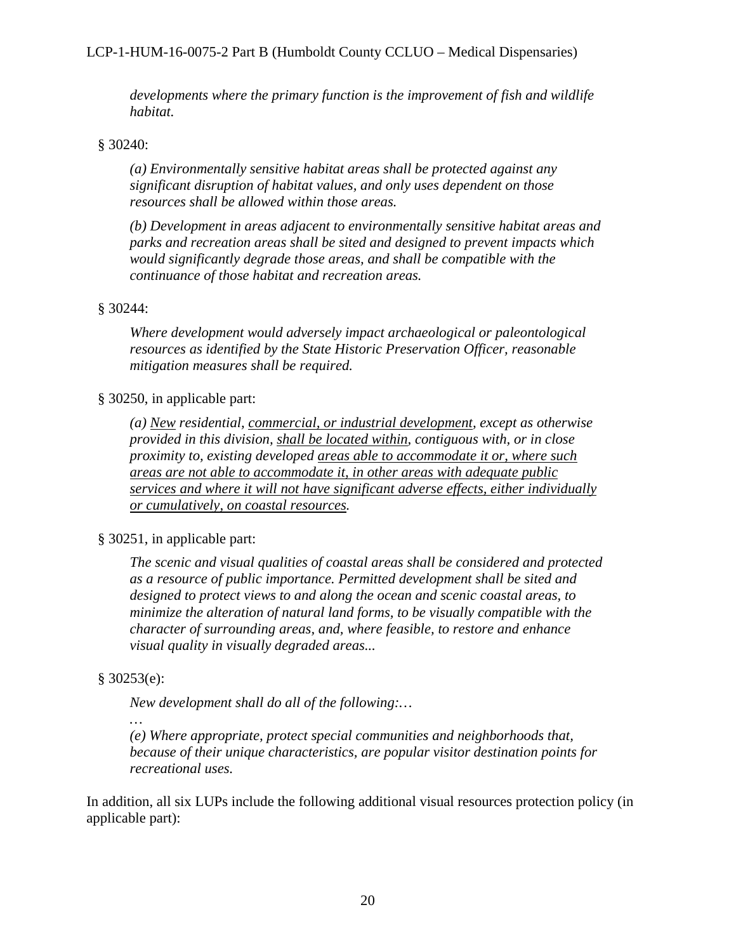#### LCP-1-HUM-16-0075-2 Part B (Humboldt County CCLUO – Medical Dispensaries)

*developments where the primary function is the improvement of fish and wildlife habitat.*

#### § 30240:

*(a) Environmentally sensitive habitat areas shall be protected against any significant disruption of habitat values, and only uses dependent on those resources shall be allowed within those areas.*

*(b) Development in areas adjacent to environmentally sensitive habitat areas and parks and recreation areas shall be sited and designed to prevent impacts which would significantly degrade those areas, and shall be compatible with the continuance of those habitat and recreation areas.*

#### § 30244:

*Where development would adversely impact archaeological or paleontological resources as identified by the State Historic Preservation Officer, reasonable mitigation measures shall be required.*

#### § 30250, in applicable part:

*(a) New residential, commercial, or industrial development, except as otherwise provided in this division, shall be located within, contiguous with, or in close proximity to, existing developed areas able to accommodate it or, where such areas are not able to accommodate it, in other areas with adequate public services and where it will not have significant adverse effects, either individually or cumulatively, on coastal resources.*

#### § 30251, in applicable part:

*The scenic and visual qualities of coastal areas shall be considered and protected as a resource of public importance. Permitted development shall be sited and designed to protect views to and along the ocean and scenic coastal areas, to minimize the alteration of natural land forms, to be visually compatible with the character of surrounding areas, and, where feasible, to restore and enhance visual quality in visually degraded areas...*

#### § 30253(e):

*…*

*New development shall do all of the following:…*

*(e) Where appropriate, protect special communities and neighborhoods that, because of their unique characteristics, are popular visitor destination points for recreational uses.*

In addition, all six LUPs include the following additional visual resources protection policy (in applicable part):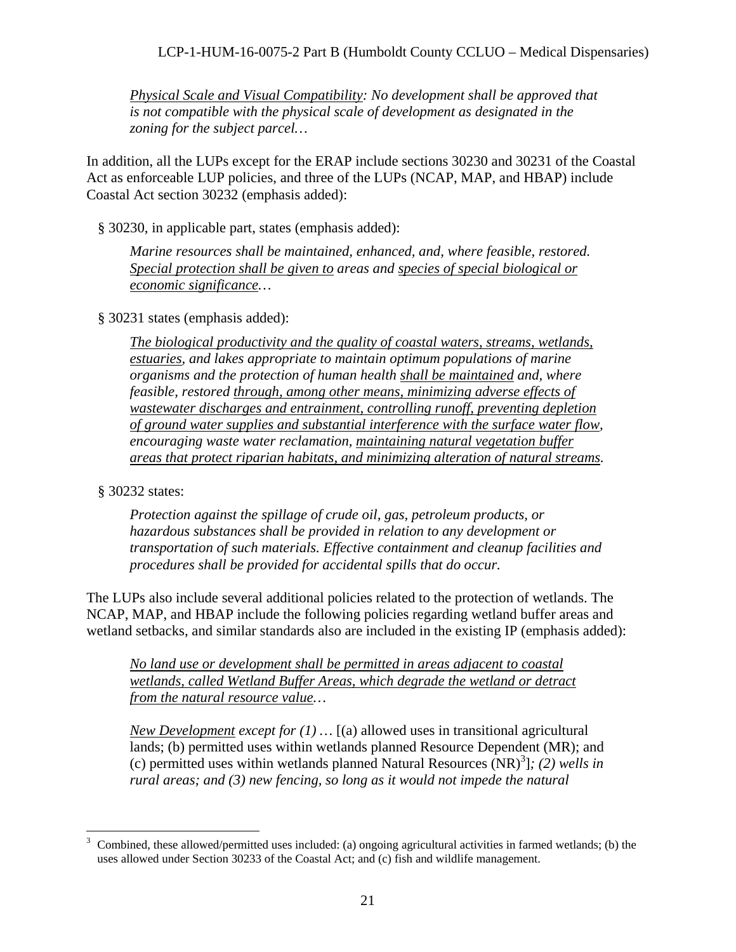*Physical Scale and Visual Compatibility: No development shall be approved that is not compatible with the physical scale of development as designated in the zoning for the subject parcel…*

In addition, all the LUPs except for the ERAP include sections 30230 and 30231 of the Coastal Act as enforceable LUP policies, and three of the LUPs (NCAP, MAP, and HBAP) include Coastal Act section 30232 (emphasis added):

§ 30230, in applicable part, states (emphasis added):

*Marine resources shall be maintained, enhanced, and, where feasible, restored. Special protection shall be given to areas and species of special biological or economic significance…* 

§ 30231 states (emphasis added):

*The biological productivity and the quality of coastal waters, streams, wetlands, estuaries, and lakes appropriate to maintain optimum populations of marine organisms and the protection of human health shall be maintained and, where feasible, restored through, among other means, minimizing adverse effects of wastewater discharges and entrainment, controlling runoff, preventing depletion of ground water supplies and substantial interference with the surface water flow, encouraging waste water reclamation, maintaining natural vegetation buffer areas that protect riparian habitats, and minimizing alteration of natural streams.* 

§ 30232 states:

*Protection against the spillage of crude oil, gas, petroleum products, or hazardous substances shall be provided in relation to any development or transportation of such materials. Effective containment and cleanup facilities and procedures shall be provided for accidental spills that do occur.*

The LUPs also include several additional policies related to the protection of wetlands. The NCAP, MAP, and HBAP include the following policies regarding wetland buffer areas and wetland setbacks, and similar standards also are included in the existing IP (emphasis added):

*No land use or development shall be permitted in areas adjacent to coastal wetlands, called Wetland Buffer Areas, which degrade the wetland or detract from the natural resource value…*

*New Development except for (1) …* [(a) allowed uses in transitional agricultural lands; (b) permitted uses within wetlands planned Resource Dependent (MR); and (c) permitted uses within wetlands planned Natural Resources (NR)<sup>3</sup> ]*; (2) wells in rural areas; and (3) new fencing, so long as it would not impede the natural* 

<sup>&</sup>lt;sup>3</sup> Combined, these allowed/permitted uses included: (a) ongoing agricultural activities in farmed wetlands; (b) the uses allowed under Section 30233 of the Coastal Act; and (c) fish and wildlife management.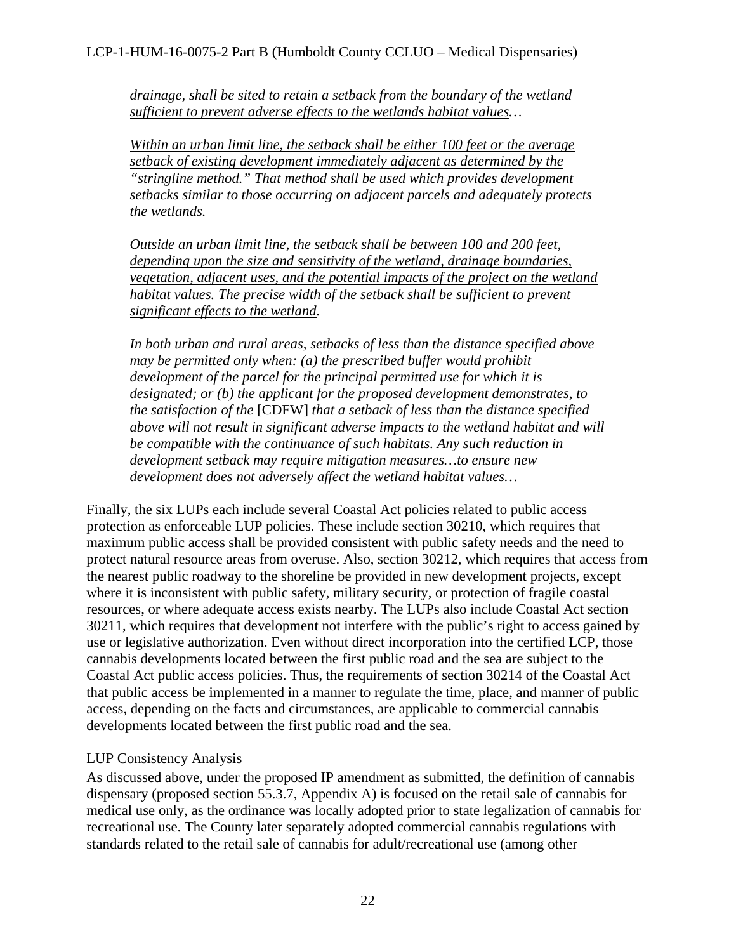*drainage, shall be sited to retain a setback from the boundary of the wetland sufficient to prevent adverse effects to the wetlands habitat values…*

*Within an urban limit line, the setback shall be either 100 feet or the average setback of existing development immediately adjacent as determined by the "stringline method." That method shall be used which provides development setbacks similar to those occurring on adjacent parcels and adequately protects the wetlands.*

*Outside an urban limit line, the setback shall be between 100 and 200 feet, depending upon the size and sensitivity of the wetland, drainage boundaries, vegetation, adjacent uses, and the potential impacts of the project on the wetland habitat values. The precise width of the setback shall be sufficient to prevent significant effects to the wetland.*

*In both urban and rural areas, setbacks of less than the distance specified above may be permitted only when: (a) the prescribed buffer would prohibit development of the parcel for the principal permitted use for which it is designated; or (b) the applicant for the proposed development demonstrates, to the satisfaction of the* [CDFW] *that a setback of less than the distance specified above will not result in significant adverse impacts to the wetland habitat and will be compatible with the continuance of such habitats. Any such reduction in development setback may require mitigation measures…to ensure new development does not adversely affect the wetland habitat values…*

Finally, the six LUPs each include several Coastal Act policies related to public access protection as enforceable LUP policies. These include section 30210, which requires that maximum public access shall be provided consistent with public safety needs and the need to protect natural resource areas from overuse. Also, section 30212, which requires that access from the nearest public roadway to the shoreline be provided in new development projects, except where it is inconsistent with public safety, military security, or protection of fragile coastal resources, or where adequate access exists nearby. The LUPs also include Coastal Act section 30211, which requires that development not interfere with the public's right to access gained by use or legislative authorization. Even without direct incorporation into the certified LCP, those cannabis developments located between the first public road and the sea are subject to the Coastal Act public access policies. Thus, the requirements of section 30214 of the Coastal Act that public access be implemented in a manner to regulate the time, place, and manner of public access, depending on the facts and circumstances, are applicable to commercial cannabis developments located between the first public road and the sea.

#### LUP Consistency Analysis

As discussed above, under the proposed IP amendment as submitted, the definition of cannabis dispensary (proposed section 55.3.7, Appendix A) is focused on the retail sale of cannabis for medical use only, as the ordinance was locally adopted prior to state legalization of cannabis for recreational use. The County later separately adopted commercial cannabis regulations with standards related to the retail sale of cannabis for adult/recreational use (among other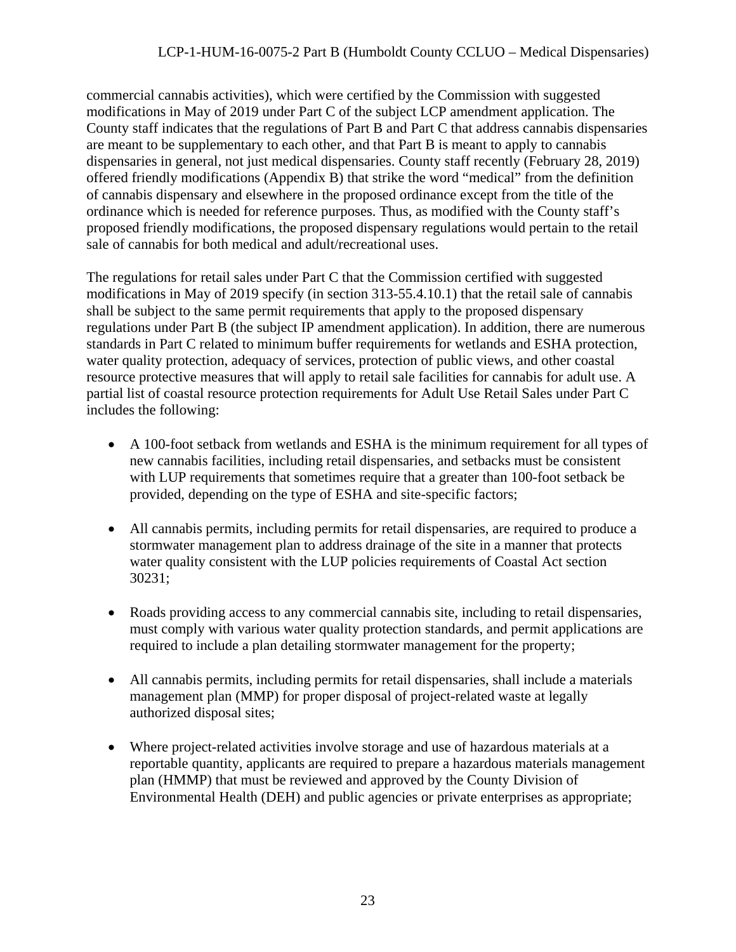commercial cannabis activities), which were certified by the Commission with suggested modifications in May of 2019 under Part C of the subject LCP amendment application. The County staff indicates that the regulations of Part B and Part C that address cannabis dispensaries are meant to be supplementary to each other, and that Part B is meant to apply to cannabis dispensaries in general, not just medical dispensaries. County staff recently (February 28, 2019) offered friendly modifications (Appendix B) that strike the word "medical" from the definition of cannabis dispensary and elsewhere in the proposed ordinance except from the title of the ordinance which is needed for reference purposes. Thus, as modified with the County staff's proposed friendly modifications, the proposed dispensary regulations would pertain to the retail sale of cannabis for both medical and adult/recreational uses.

The regulations for retail sales under Part C that the Commission certified with suggested modifications in May of 2019 specify (in section 313-55.4.10.1) that the retail sale of cannabis shall be subject to the same permit requirements that apply to the proposed dispensary regulations under Part B (the subject IP amendment application). In addition, there are numerous standards in Part C related to minimum buffer requirements for wetlands and ESHA protection, water quality protection, adequacy of services, protection of public views, and other coastal resource protective measures that will apply to retail sale facilities for cannabis for adult use. A partial list of coastal resource protection requirements for Adult Use Retail Sales under Part C includes the following:

- A 100-foot setback from wetlands and ESHA is the minimum requirement for all types of new cannabis facilities, including retail dispensaries, and setbacks must be consistent with LUP requirements that sometimes require that a greater than 100-foot setback be provided, depending on the type of ESHA and site-specific factors;
- All cannabis permits, including permits for retail dispensaries, are required to produce a stormwater management plan to address drainage of the site in a manner that protects water quality consistent with the LUP policies requirements of Coastal Act section 30231;
- Roads providing access to any commercial cannabis site, including to retail dispensaries, must comply with various water quality protection standards, and permit applications are required to include a plan detailing stormwater management for the property;
- All cannabis permits, including permits for retail dispensaries, shall include a materials management plan (MMP) for proper disposal of project-related waste at legally authorized disposal sites;
- Where project-related activities involve storage and use of hazardous materials at a reportable quantity, applicants are required to prepare a hazardous materials management plan (HMMP) that must be reviewed and approved by the County Division of Environmental Health (DEH) and public agencies or private enterprises as appropriate;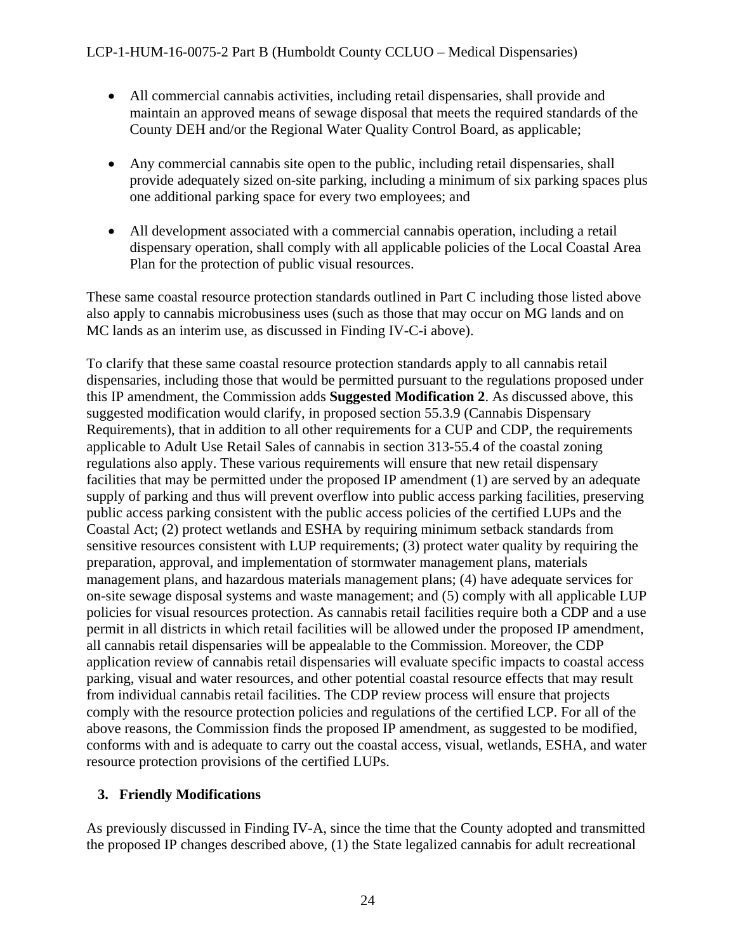- All commercial cannabis activities, including retail dispensaries, shall provide and maintain an approved means of sewage disposal that meets the required standards of the County DEH and/or the Regional Water Quality Control Board, as applicable;
- Any commercial cannabis site open to the public, including retail dispensaries, shall provide adequately sized on-site parking, including a minimum of six parking spaces plus one additional parking space for every two employees; and
- All development associated with a commercial cannabis operation, including a retail dispensary operation, shall comply with all applicable policies of the Local Coastal Area Plan for the protection of public visual resources.

These same coastal resource protection standards outlined in Part C including those listed above also apply to cannabis microbusiness uses (such as those that may occur on MG lands and on MC lands as an interim use, as discussed in Finding IV-C-i above).

To clarify that these same coastal resource protection standards apply to all cannabis retail dispensaries, including those that would be permitted pursuant to the regulations proposed under this IP amendment, the Commission adds **Suggested Modification 2**. As discussed above, this suggested modification would clarify, in proposed section 55.3.9 (Cannabis Dispensary Requirements), that in addition to all other requirements for a CUP and CDP, the requirements applicable to Adult Use Retail Sales of cannabis in section 313-55.4 of the coastal zoning regulations also apply. These various requirements will ensure that new retail dispensary facilities that may be permitted under the proposed IP amendment (1) are served by an adequate supply of parking and thus will prevent overflow into public access parking facilities, preserving public access parking consistent with the public access policies of the certified LUPs and the Coastal Act; (2) protect wetlands and ESHA by requiring minimum setback standards from sensitive resources consistent with LUP requirements; (3) protect water quality by requiring the preparation, approval, and implementation of stormwater management plans, materials management plans, and hazardous materials management plans; (4) have adequate services for on-site sewage disposal systems and waste management; and (5) comply with all applicable LUP policies for visual resources protection. As cannabis retail facilities require both a CDP and a use permit in all districts in which retail facilities will be allowed under the proposed IP amendment, all cannabis retail dispensaries will be appealable to the Commission. Moreover, the CDP application review of cannabis retail dispensaries will evaluate specific impacts to coastal access parking, visual and water resources, and other potential coastal resource effects that may result from individual cannabis retail facilities. The CDP review process will ensure that projects comply with the resource protection policies and regulations of the certified LCP. For all of the above reasons, the Commission finds the proposed IP amendment, as suggested to be modified, conforms with and is adequate to carry out the coastal access, visual, wetlands, ESHA, and water resource protection provisions of the certified LUPs.

## <span id="page-23-0"></span>**3. Friendly Modifications**

As previously discussed in Finding IV-A, since the time that the County adopted and transmitted the proposed IP changes described above, (1) the State legalized cannabis for adult recreational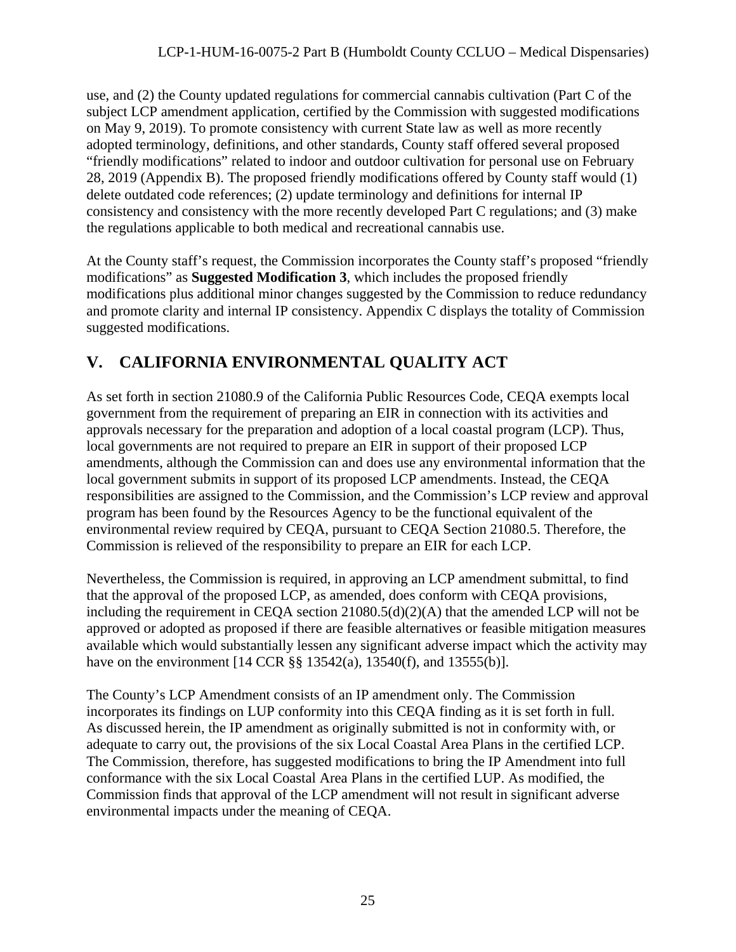use, and (2) the County updated regulations for commercial cannabis cultivation (Part C of the subject LCP amendment application, certified by the Commission with suggested modifications on May 9, 2019). To promote consistency with current State law as well as more recently adopted terminology, definitions, and other standards, County staff offered several proposed "friendly modifications" related to indoor and outdoor cultivation for personal use on February 28, 2019 (Appendix B). The proposed friendly modifications offered by County staff would (1) delete outdated code references; (2) update terminology and definitions for internal IP consistency and consistency with the more recently developed Part C regulations; and (3) make the regulations applicable to both medical and recreational cannabis use.

At the County staff's request, the Commission incorporates the County staff's proposed "friendly modifications" as **Suggested Modification 3**, which includes the proposed friendly modifications plus additional minor changes suggested by the Commission to reduce redundancy and promote clarity and internal IP consistency. Appendix C displays the totality of Commission suggested modifications.

## <span id="page-24-0"></span>**V. CALIFORNIA ENVIRONMENTAL QUALITY ACT**

As set forth in section 21080.9 of the California Public Resources Code, CEQA exempts local government from the requirement of preparing an EIR in connection with its activities and approvals necessary for the preparation and adoption of a local coastal program (LCP). Thus, local governments are not required to prepare an EIR in support of their proposed LCP amendments, although the Commission can and does use any environmental information that the local government submits in support of its proposed LCP amendments. Instead, the CEQA responsibilities are assigned to the Commission, and the Commission's LCP review and approval program has been found by the Resources Agency to be the functional equivalent of the environmental review required by CEQA, pursuant to CEQA Section 21080.5. Therefore, the Commission is relieved of the responsibility to prepare an EIR for each LCP.

Nevertheless, the Commission is required, in approving an LCP amendment submittal, to find that the approval of the proposed LCP, as amended, does conform with CEQA provisions, including the requirement in CEQA section 21080.5(d)(2)(A) that the amended LCP will not be approved or adopted as proposed if there are feasible alternatives or feasible mitigation measures available which would substantially lessen any significant adverse impact which the activity may have on the environment [14 CCR §§ 13542(a), 13540(f), and 13555(b)].

The County's LCP Amendment consists of an IP amendment only. The Commission incorporates its findings on LUP conformity into this CEQA finding as it is set forth in full. As discussed herein, the IP amendment as originally submitted is not in conformity with, or adequate to carry out, the provisions of the six Local Coastal Area Plans in the certified LCP. The Commission, therefore, has suggested modifications to bring the IP Amendment into full conformance with the six Local Coastal Area Plans in the certified LUP. As modified, the Commission finds that approval of the LCP amendment will not result in significant adverse environmental impacts under the meaning of CEQA.